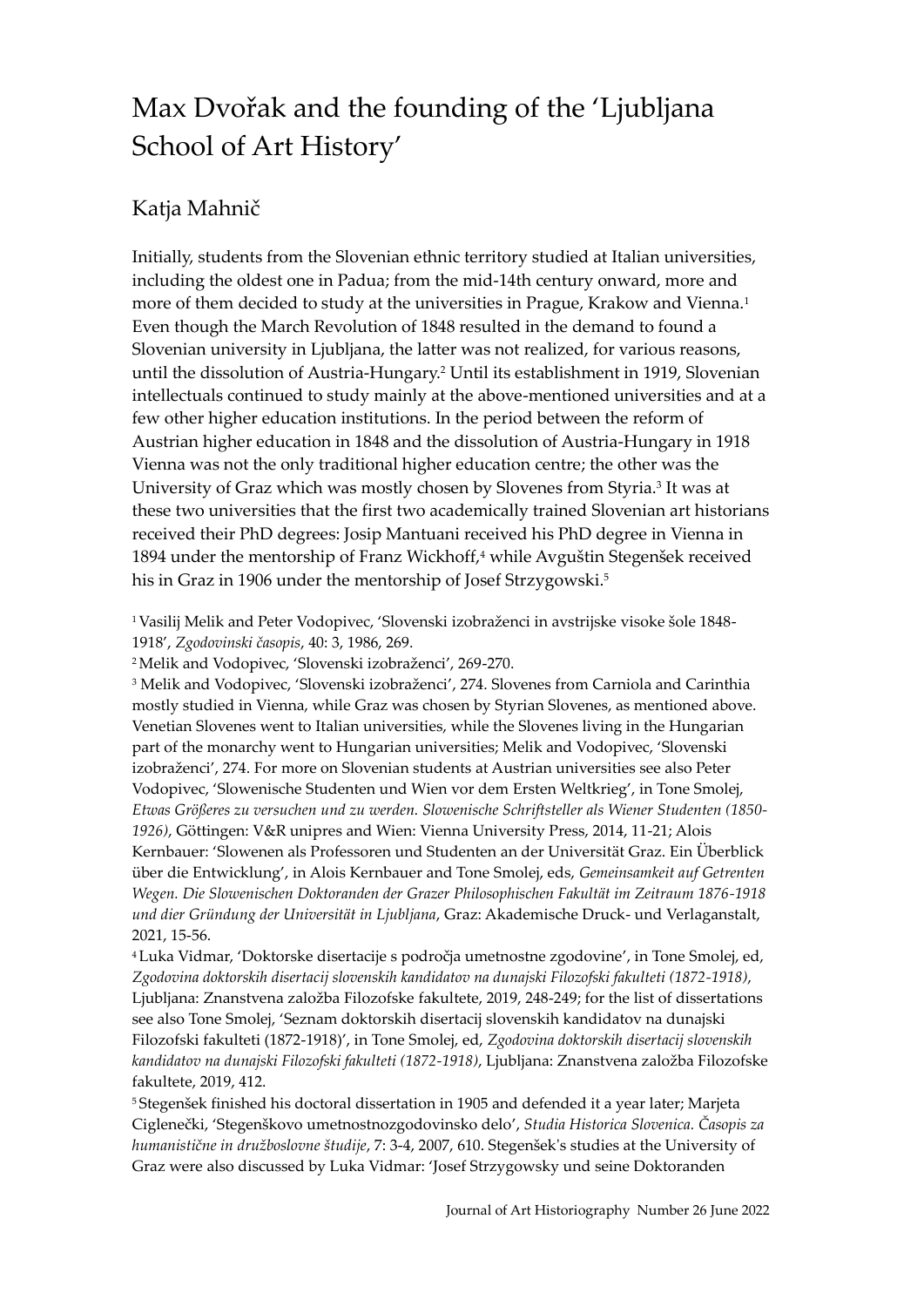## Max Dvořak and the founding of the 'Ljubljana School of Art History'

## Katja Mahnič

Initially, students from the Slovenian ethnic territory studied at Italian universities, including the oldest one in Padua; from the mid-14th century onward, more and more of them decided to study at the universities in Prague, Krakow and Vienna.<sup>1</sup> Even though the March Revolution of 1848 resulted in the demand to found a Slovenian university in Ljubljana, the latter was not realized, for various reasons, until the dissolution of Austria-Hungary.<sup>2</sup> Until its establishment in 1919, Slovenian intellectuals continued to study mainly at the above-mentioned universities and at a few other higher education institutions. In the period between the reform of Austrian higher education in 1848 and the dissolution of Austria-Hungary in 1918 Vienna was not the only traditional higher education centre; the other was the University of Graz which was mostly chosen by Slovenes from Styria.<sup>3</sup> It was at these two universities that the first two academically trained Slovenian art historians received their PhD degrees: Josip Mantuani received his PhD degree in Vienna in 1894 under the mentorship of Franz Wickhoff,<sup>4</sup> while Avguštin Stegenšek received his in Graz in 1906 under the mentorship of Josef Strzygowski.<sup>5</sup>

<sup>1</sup> Vasilij Melik and Peter Vodopivec, 'Slovenski izobraženci in avstrijske visoke šole 1848- 1918', *Zgodovinski časopis*, 40: 3, 1986, 269.

<sup>2</sup>Melik and Vodopivec, 'Slovenski izobraženci', 269-270.

<sup>3</sup> Melik and Vodopivec, 'Slovenski izobraženci', 274. Slovenes from Carniola and Carinthia mostly studied in Vienna, while Graz was chosen by Styrian Slovenes, as mentioned above. Venetian Slovenes went to Italian universities, while the Slovenes living in the Hungarian part of the monarchy went to Hungarian universities; Melik and Vodopivec, 'Slovenski izobraženci', 274. For more on Slovenian students at Austrian universities see also Peter Vodopivec, 'Slowenische Studenten und Wien vor dem Ersten Weltkrieg', in Tone Smolej, *Etwas Größeres zu versuchen und zu werden. Slowenische Schriftsteller als Wiener Studenten (1850- 1926)*, Göttingen: V&R unipres and Wien: Vienna University Press, 2014, 11-21; Alois Kernbauer: 'Slowenen als Professoren und Studenten an der Universität Graz. Ein Überblick über die Entwicklung', in Alois Kernbauer and Tone Smolej, eds, *Gemeinsamkeit auf Getrenten Wegen. Die Slowenischen Doktoranden der Grazer Philosophischen Fakultät im Zeitraum 1876-1918 und dier Gründung der Universität in Ljubljana*, Graz: Akademische Druck- und Verlaganstalt, 2021, 15-56.

<sup>4</sup> Luka Vidmar, 'Doktorske disertacije s področja umetnostne zgodovine', in Tone Smolej, ed, *Zgodovina doktorskih disertacij slovenskih kandidatov na dunajski Filozofski fakulteti (1872-1918)*, Ljubljana: Znanstvena založba Filozofske fakultete, 2019, 248-249; for the list of dissertations see also Tone Smolej, 'Seznam doktorskih disertacij slovenskih kandidatov na dunajski Filozofski fakulteti (1872-1918)', in Tone Smolej, ed, *Zgodovina doktorskih disertacij slovenskih kandidatov na dunajski Filozofski fakulteti (1872-1918)*, Ljubljana: Znanstvena založba Filozofske fakultete, 2019, 412.

<sup>5</sup> Stegenšek finished his doctoral dissertation in 1905 and defended it a year later; Marjeta Ciglenečki, 'Stegenškovo umetnostnozgodovinsko delo', *Studia Historica Slovenica. Časopis za humanistične in družboslovne študije*, 7: 3-4, 2007, 610. Stegenšek's studies at the University of Graz were also discussed by Luka Vidmar: 'Josef Strzygowsky und seine Doktoranden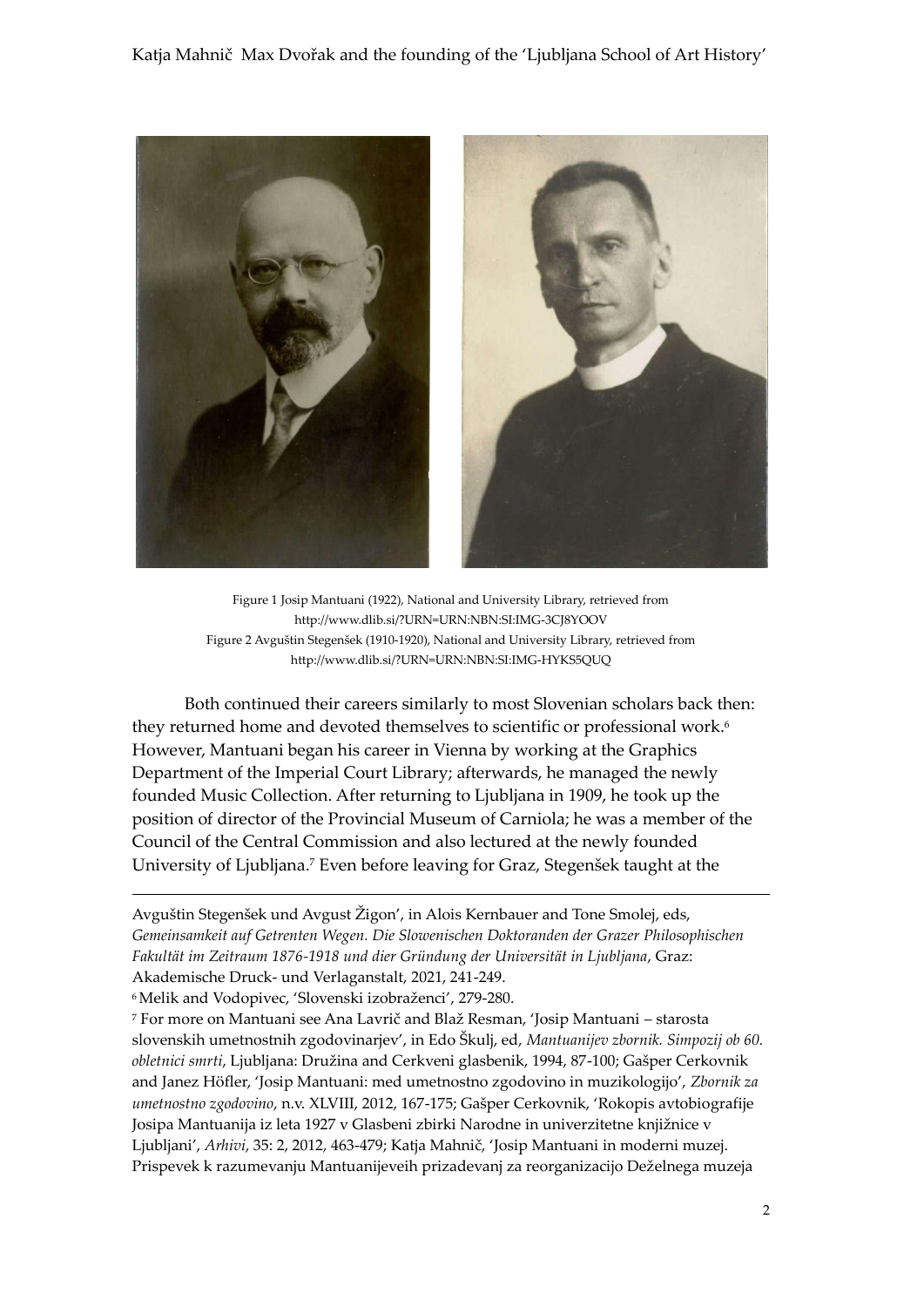

Figure 1 Josip Mantuani (1922), National and University Library, retrieved from http://www.dlib.si/?URN=URN:NBN:SI:IMG-3CJ8YOOV Figure 2 Avguštin Stegenšek (1910-1920), National and University Library, retrieved from http://www.dlib.si/?URN=URN:NBN:SI:IMG-HYKS5QUQ

Both continued their careers similarly to most Slovenian scholars back then: they returned home and devoted themselves to scientific or professional work.<sup>6</sup> However, Mantuani began his career in Vienna by working at the Graphics Department of the Imperial Court Library; afterwards, he managed the newly founded Music Collection. After returning to Ljubljana in 1909, he took up the position of director of the Provincial Museum of Carniola; he was a member of the Council of the Central Commission and also lectured at the newly founded University of Ljubljana.<sup>7</sup> Even before leaving for Graz, Stegenšek taught at the

Avguštin Stegenšek und Avgust Žigon', in Alois Kernbauer and Tone Smolej, eds, *Gemeinsamkeit auf Getrenten Wegen. Die Slowenischen Doktoranden der Grazer Philosophischen Fakultät im Zeitraum 1876-1918 und dier Gründung der Universität in Ljubljana*, Graz: Akademische Druck- und Verlaganstalt, 2021, 241-249.

<sup>6</sup>Melik and Vodopivec, 'Slovenski izobraženci', 279-280.

1

<sup>7</sup> For more on Mantuani see Ana Lavrič and Blaž Resman, 'Josip Mantuani – starosta slovenskih umetnostnih zgodovinarjev', in Edo Škulj, ed, *Mantuanijev zbornik. Simpozij ob 60. obletnici smrti*, Ljubljana: Družina and Cerkveni glasbenik, 1994, 87-100; Gašper Cerkovnik and Janez Höfler, 'Josip Mantuani: med umetnostno zgodovino in muzikologijo', *Zbornik za umetnostno zgodovino*, n.v. XLVIII, 2012, 167-175; Gašper Cerkovnik, 'Rokopis avtobiografije Josipa Mantuanija iz leta 1927 v Glasbeni zbirki Narodne in univerzitetne knjižnice v Ljubljani', *Arhivi*, 35: 2, 2012, 463-479; Katja Mahnič, 'Josip Mantuani in moderni muzej. Prispevek k razumevanju Mantuanijeveih prizadevanj za reorganizacijo Deželnega muzeja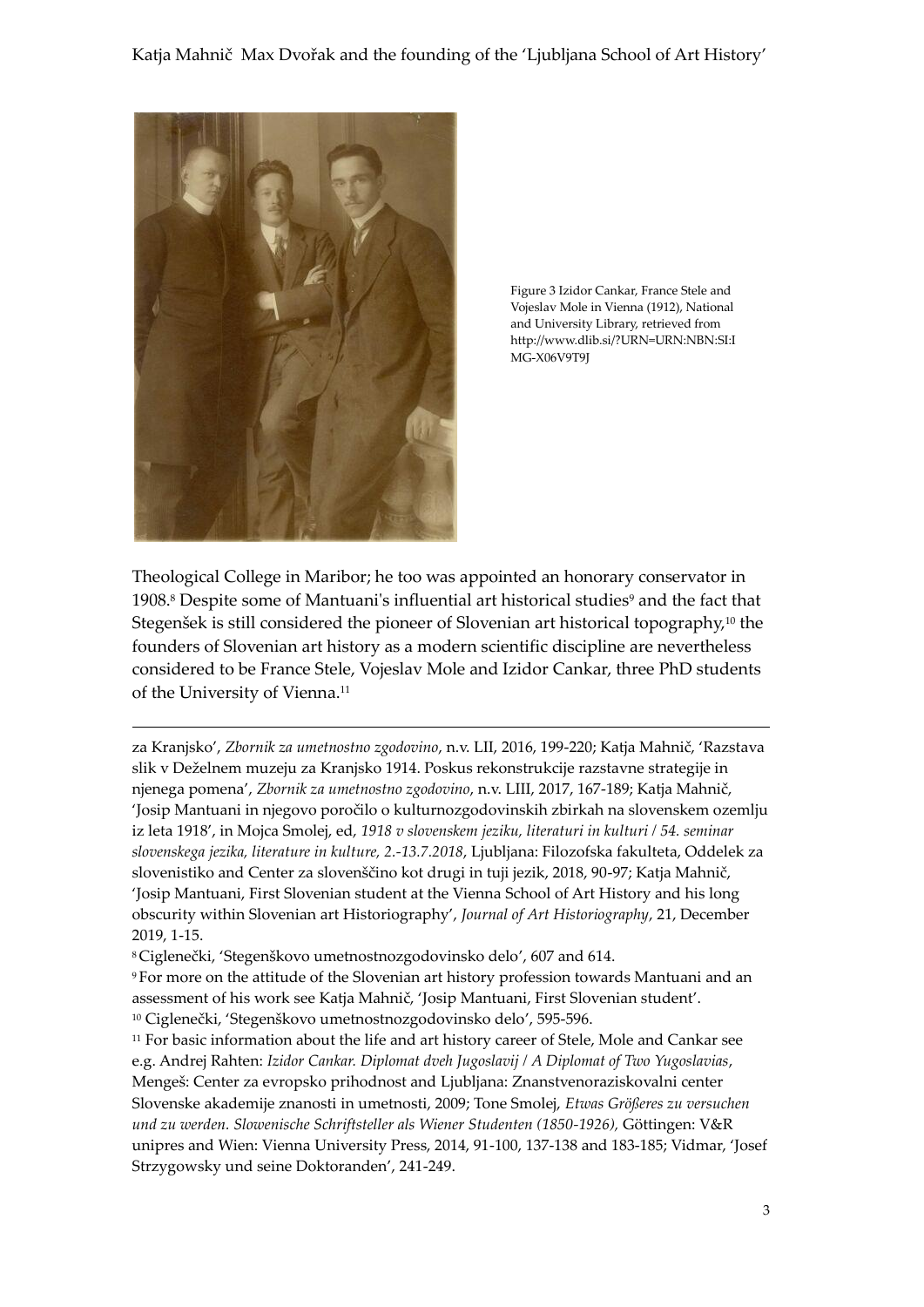

1

Figure 3 Izidor Cankar, France Stele and Vojeslav Mole in Vienna (1912), National and University Library, retrieved from http://www.dlib.si/?URN=URN:NBN:SI:I MG-X06V9T9J

Theological College in Maribor; he too was appointed an honorary conservator in 1908.<sup>8</sup> Despite some of Mantuani's influential art historical studies<sup>9</sup> and the fact that Stegenšek is still considered the pioneer of Slovenian art historical topography,<sup>10</sup> the founders of Slovenian art history as a modern scientific discipline are nevertheless considered to be France Stele, Vojeslav Mole and Izidor Cankar, three PhD students of the University of Vienna.<sup>11</sup>

za Kranjsko', *Zbornik za umetnostno zgodovino*, n.v. LII, 2016, 199-220; Katja Mahnič, 'Razstava slik v Deželnem muzeju za Kranjsko 1914. Poskus rekonstrukcije razstavne strategije in njenega pomena', *Zbornik za umetnostno zgodovino*, n.v. LIII, 2017, 167-189; Katja Mahnič, 'Josip Mantuani in njegovo poročilo o kulturnozgodovinskih zbirkah na slovenskem ozemlju iz leta 1918', in Mojca Smolej, ed, *1918 v slovenskem jeziku, literaturi in kulturi / 54. seminar slovenskega jezika, literature in kulture, 2.-13.7.2018*, Ljubljana: Filozofska fakulteta, Oddelek za slovenistiko and Center za slovenščino kot drugi in tuji jezik, 2018, 90-97; Katja Mahnič, 'Josip Mantuani, First Slovenian student at the Vienna School of Art History and his long obscurity within Slovenian art Historiography', *Journal of Art Historiography*, 21, December 2019, 1-15.

<sup>8</sup> Ciglenečki, 'Stegenškovo umetnostnozgodovinsko delo', 607 and 614.

<sup>9</sup> For more on the attitude of the Slovenian art history profession towards Mantuani and an assessment of his work see Katja Mahnič, 'Josip Mantuani, First Slovenian student'. <sup>10</sup> Ciglenečki, 'Stegenškovo umetnostnozgodovinsko delo', 595-596.

<sup>11</sup> For basic information about the life and art history career of Stele, Mole and Cankar see e.g. Andrej Rahten: *Izidor Cankar. Diplomat dveh Jugoslavij / A Diplomat of Two Yugoslavias*, Mengeš: Center za evropsko prihodnost and Ljubljana: Znanstvenoraziskovalni center Slovenske akademije znanosti in umetnosti, 2009; Tone Smolej, *Etwas Größeres zu versuchen und zu werden. Slowenische Schriftsteller als Wiener Studenten (1850-1926),* Göttingen: V&R unipres and Wien: Vienna University Press, 2014, 91-100, 137-138 and 183-185; Vidmar, 'Josef Strzygowsky und seine Doktoranden', 241-249.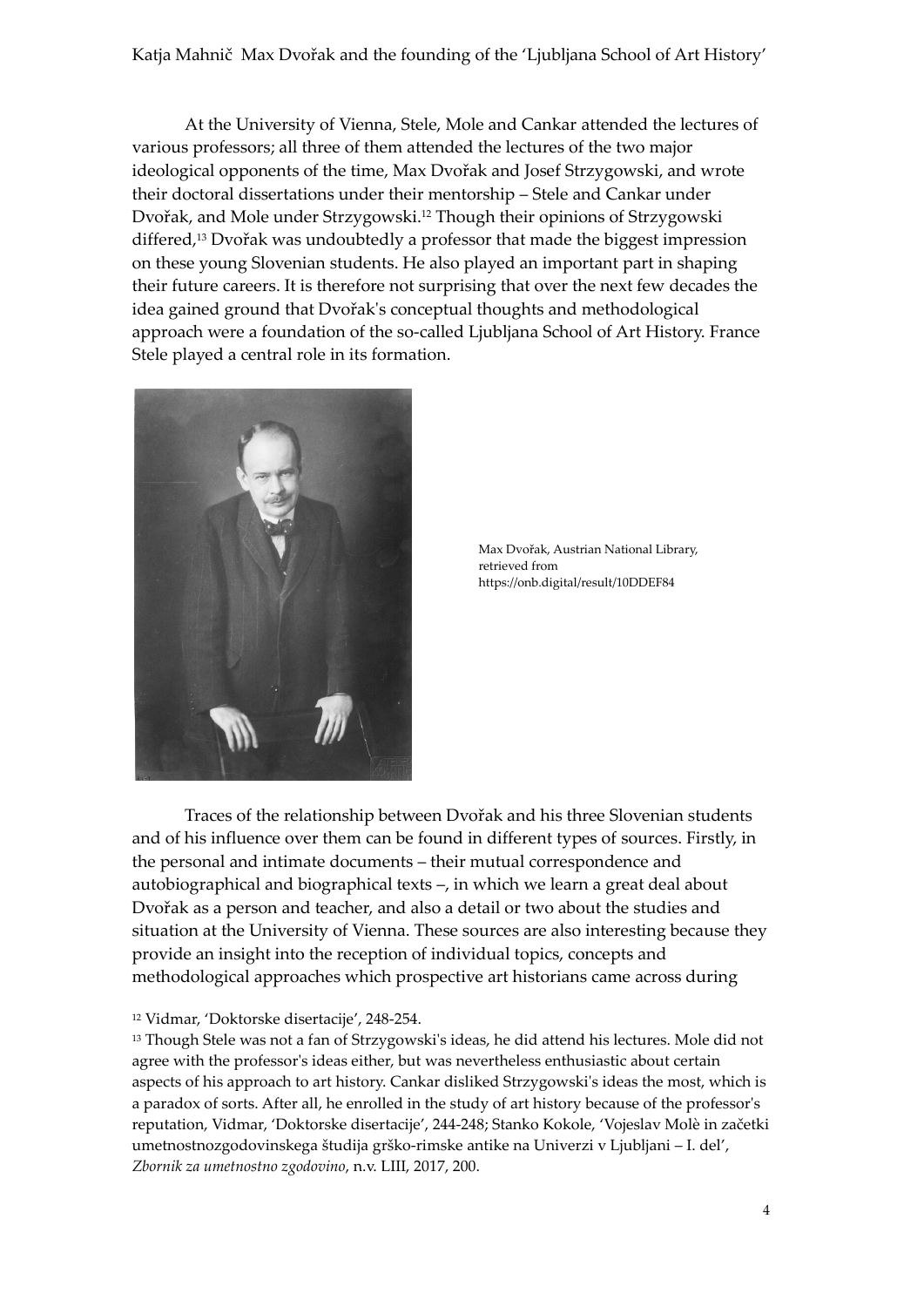Katja Mahnič Max Dvořak and the founding of the 'Ljubljana School of Art History'

At the University of Vienna, Stele, Mole and Cankar attended the lectures of various professors; all three of them attended the lectures of the two major ideological opponents of the time, Max Dvořak and Josef Strzygowski, and wrote their doctoral dissertations under their mentorship – Stele and Cankar under Dvořak, and Mole under Strzygowski.<sup>12</sup> Though their opinions of Strzygowski differed,<sup>13</sup> Dvořak was undoubtedly a professor that made the biggest impression on these young Slovenian students. He also played an important part in shaping their future careers. It is therefore not surprising that over the next few decades the idea gained ground that Dvořak's conceptual thoughts and methodological approach were a foundation of the so-called Ljubljana School of Art History. France Stele played a central role in its formation.



Max Dvořak, Austrian National Library, retrieved from https://onb.digital/result/10DDEF84

Traces of the relationship between Dvořak and his three Slovenian students and of his influence over them can be found in different types of sources. Firstly, in the personal and intimate documents – their mutual correspondence and autobiographical and biographical texts –, in which we learn a great deal about Dvořak as a person and teacher, and also a detail or two about the studies and situation at the University of Vienna. These sources are also interesting because they provide an insight into the reception of individual topics, concepts and methodological approaches which prospective art historians came across during

## <sup>12</sup> Vidmar, 'Doktorske disertacije', 248-254.

<sup>13</sup> Though Stele was not a fan of Strzygowski's ideas, he did attend his lectures. Mole did not agree with the professor's ideas either, but was nevertheless enthusiastic about certain aspects of his approach to art history. Cankar disliked Strzygowski's ideas the most, which is a paradox of sorts. After all, he enrolled in the study of art history because of the professor's reputation, Vidmar, 'Doktorske disertacije', 244-248; Stanko Kokole, 'Vojeslav Molè in začetki umetnostnozgodovinskega študija grško-rimske antike na Univerzi v Ljubljani – I. del', *Zbornik za umetnostno zgodovino*, n.v. LIII, 2017, 200.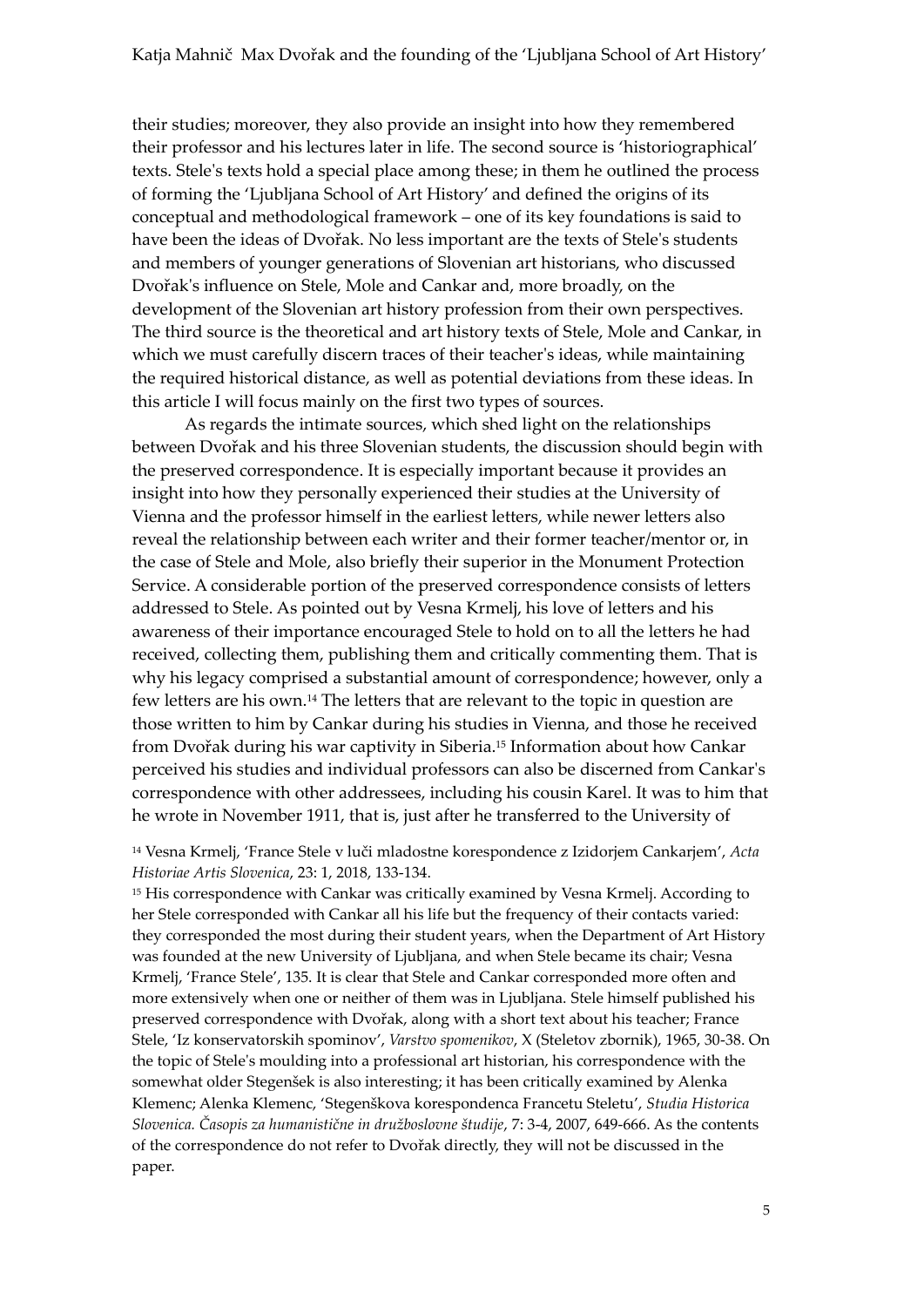their studies; moreover, they also provide an insight into how they remembered their professor and his lectures later in life. The second source is 'historiographical' texts. Stele's texts hold a special place among these; in them he outlined the process of forming the 'Ljubljana School of Art History' and defined the origins of its conceptual and methodological framework – one of its key foundations is said to have been the ideas of Dvořak. No less important are the texts of Stele's students and members of younger generations of Slovenian art historians, who discussed Dvořak's influence on Stele, Mole and Cankar and, more broadly, on the development of the Slovenian art history profession from their own perspectives. The third source is the theoretical and art history texts of Stele, Mole and Cankar, in which we must carefully discern traces of their teacher's ideas, while maintaining the required historical distance, as well as potential deviations from these ideas. In this article I will focus mainly on the first two types of sources.

As regards the intimate sources, which shed light on the relationships between Dvořak and his three Slovenian students, the discussion should begin with the preserved correspondence. It is especially important because it provides an insight into how they personally experienced their studies at the University of Vienna and the professor himself in the earliest letters, while newer letters also reveal the relationship between each writer and their former teacher/mentor or, in the case of Stele and Mole, also briefly their superior in the Monument Protection Service. A considerable portion of the preserved correspondence consists of letters addressed to Stele. As pointed out by Vesna Krmelj, his love of letters and his awareness of their importance encouraged Stele to hold on to all the letters he had received, collecting them, publishing them and critically commenting them. That is why his legacy comprised a substantial amount of correspondence; however, only a few letters are his own.<sup>14</sup> The letters that are relevant to the topic in question are those written to him by Cankar during his studies in Vienna, and those he received from Dvořak during his war captivity in Siberia.<sup>15</sup> Information about how Cankar perceived his studies and individual professors can also be discerned from Cankar's correspondence with other addressees, including his cousin Karel. It was to him that he wrote in November 1911, that is, just after he transferred to the University of

<sup>14</sup> Vesna Krmelj, 'France Stele v luči mladostne korespondence z Izidorjem Cankarjem', *Acta Historiae Artis Slovenica*, 23: 1, 2018, 133-134.

<sup>15</sup> His correspondence with Cankar was critically examined by Vesna Krmelj. According to her Stele corresponded with Cankar all his life but the frequency of their contacts varied: they corresponded the most during their student years, when the Department of Art History was founded at the new University of Ljubljana, and when Stele became its chair; Vesna Krmelj, 'France Stele', 135. It is clear that Stele and Cankar corresponded more often and more extensively when one or neither of them was in Ljubljana. Stele himself published his preserved correspondence with Dvořak, along with a short text about his teacher; France Stele, 'Iz konservatorskih spominov', *Varstvo spomenikov*, X (Steletov zbornik), 1965, 30-38. On the topic of Stele's moulding into a professional art historian, his correspondence with the somewhat older Stegenšek is also interesting; it has been critically examined by Alenka Klemenc; Alenka Klemenc, 'Stegenškova korespondenca Francetu Steletu', *Studia Historica Slovenica. Časopis za humanistične in družboslovne študije*, 7: 3-4, 2007, 649-666. As the contents of the correspondence do not refer to Dvořak directly, they will not be discussed in the paper.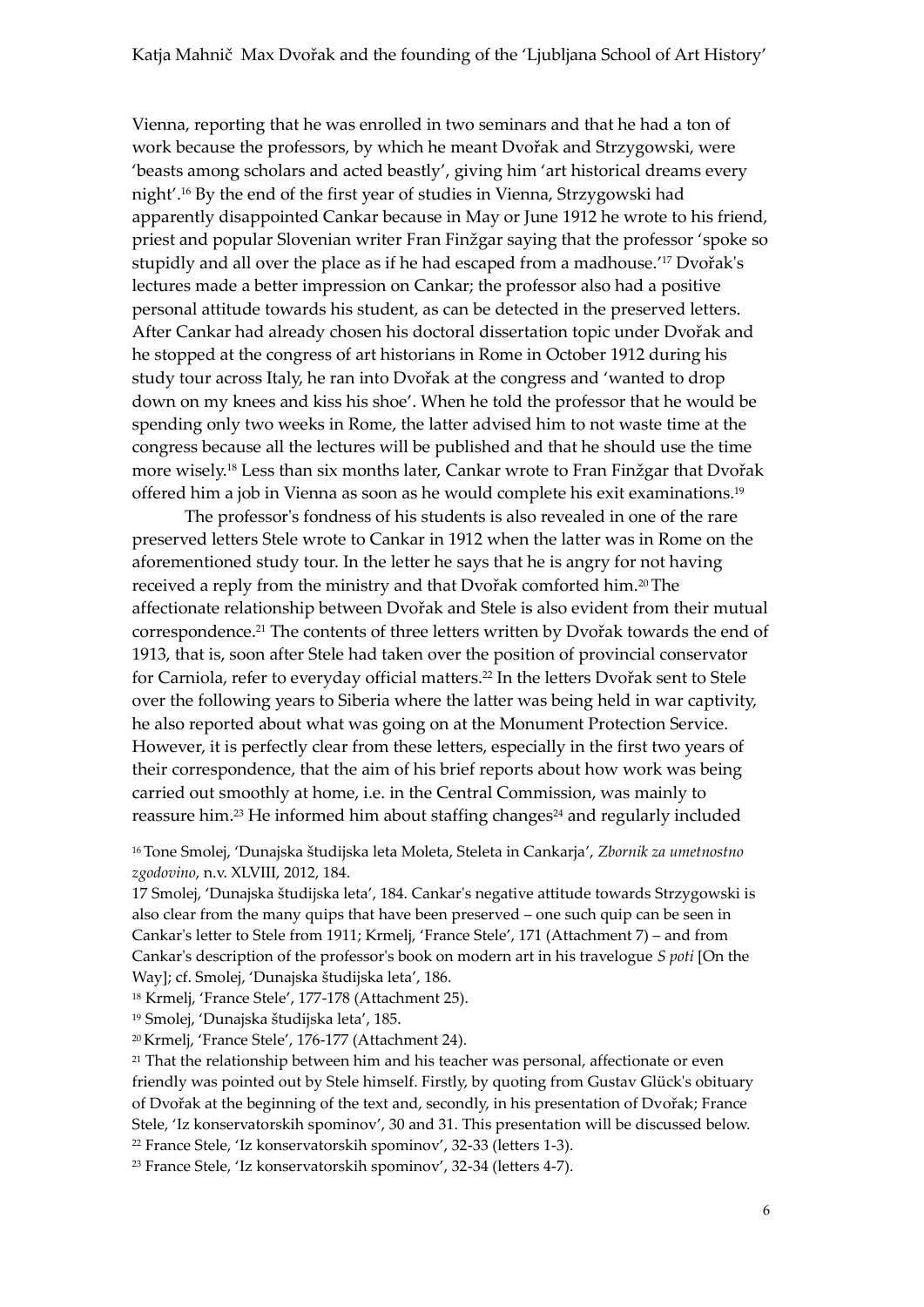Vienna, reporting that he was enrolled in two seminars and that he had a ton of work because the professors, by which he meant Dvořak and Strzygowski, were 'beasts among scholars and acted beastly', giving him 'art historical dreams every night'. <sup>16</sup> By the end of the first year of studies in Vienna, Strzygowski had apparently disappointed Cankar because in May or June 1912 he wrote to his friend, priest and popular Slovenian writer Fran Finžgar saying that the professor 'spoke so stupidly and all over the place as if he had escaped from a madhouse.' <sup>17</sup> Dvořak's lectures made a better impression on Cankar; the professor also had a positive personal attitude towards his student, as can be detected in the preserved letters. After Cankar had already chosen his doctoral dissertation topic under Dvořak and he stopped at the congress of art historians in Rome in October 1912 during his study tour across Italy, he ran into Dvořak at the congress and 'wanted to drop down on my knees and kiss his shoe'. When he told the professor that he would be spending only two weeks in Rome, the latter advised him to not waste time at the congress because all the lectures will be published and that he should use the time more wisely.<sup>18</sup> Less than six months later, Cankar wrote to Fran Finžgar that Dvořak offered him a job in Vienna as soon as he would complete his exit examinations.<sup>19</sup>

The professor's fondness of his students is also revealed in one of the rare preserved letters Stele wrote to Cankar in 1912 when the latter was in Rome on the aforementioned study tour. In the letter he says that he is angry for not having received a reply from the ministry and that Dvořak comforted him.20The affectionate relationship between Dvořak and Stele is also evident from their mutual correspondence.<sup>21</sup> The contents of three letters written by Dvořak towards the end of 1913, that is, soon after Stele had taken over the position of provincial conservator for Carniola, refer to everyday official matters.<sup>22</sup> In the letters Dvořak sent to Stele over the following years to Siberia where the latter was being held in war captivity, he also reported about what was going on at the Monument Protection Service. However, it is perfectly clear from these letters, especially in the first two years of their correspondence, that the aim of his brief reports about how work was being carried out smoothly at home, i.e. in the Central Commission, was mainly to reassure him.<sup>23</sup> He informed him about staffing changes<sup>24</sup> and regularly included

<sup>16</sup> Tone Smolej, 'Dunajska študijska leta Moleta, Steleta in Cankarja', *Zbornik za umetnostno zgodovino*, n.v. XLVIII, 2012, 184.

17 Smolej, 'Dunajska študijska leta', 184. Cankar's negative attitude towards Strzygowski is also clear from the many quips that have been preserved – one such quip can be seen in Cankar's letter to Stele from 1911; Krmelj, 'France Stele', 171 (Attachment 7) – and from Cankar's description of the professor's book on modern art in his travelogue *S poti* [On the Way]; cf. Smolej, 'Dunajska študijska leta', 186.

<sup>18</sup> Krmelj, 'France Stele', 177-178 (Attachment 25).

<sup>19</sup> Smolej, 'Dunajska študijska leta', 185.

<sup>20</sup> Krmelj, 'France Stele', 176-177 (Attachment 24).

<sup>21</sup> That the relationship between him and his teacher was personal, affectionate or even friendly was pointed out by Stele himself. Firstly, by quoting from Gustav Glück's obituary of Dvořak at the beginning of the text and, secondly, in his presentation of Dvořak; France Stele, 'Iz konservatorskih spominov', 30 and 31. This presentation will be discussed below. <sup>22</sup> France Stele, 'Iz konservatorskih spominov', 32-33 (letters 1-3).

<sup>23</sup> France Stele, 'Iz konservatorskih spominov', 32-34 (letters 4-7).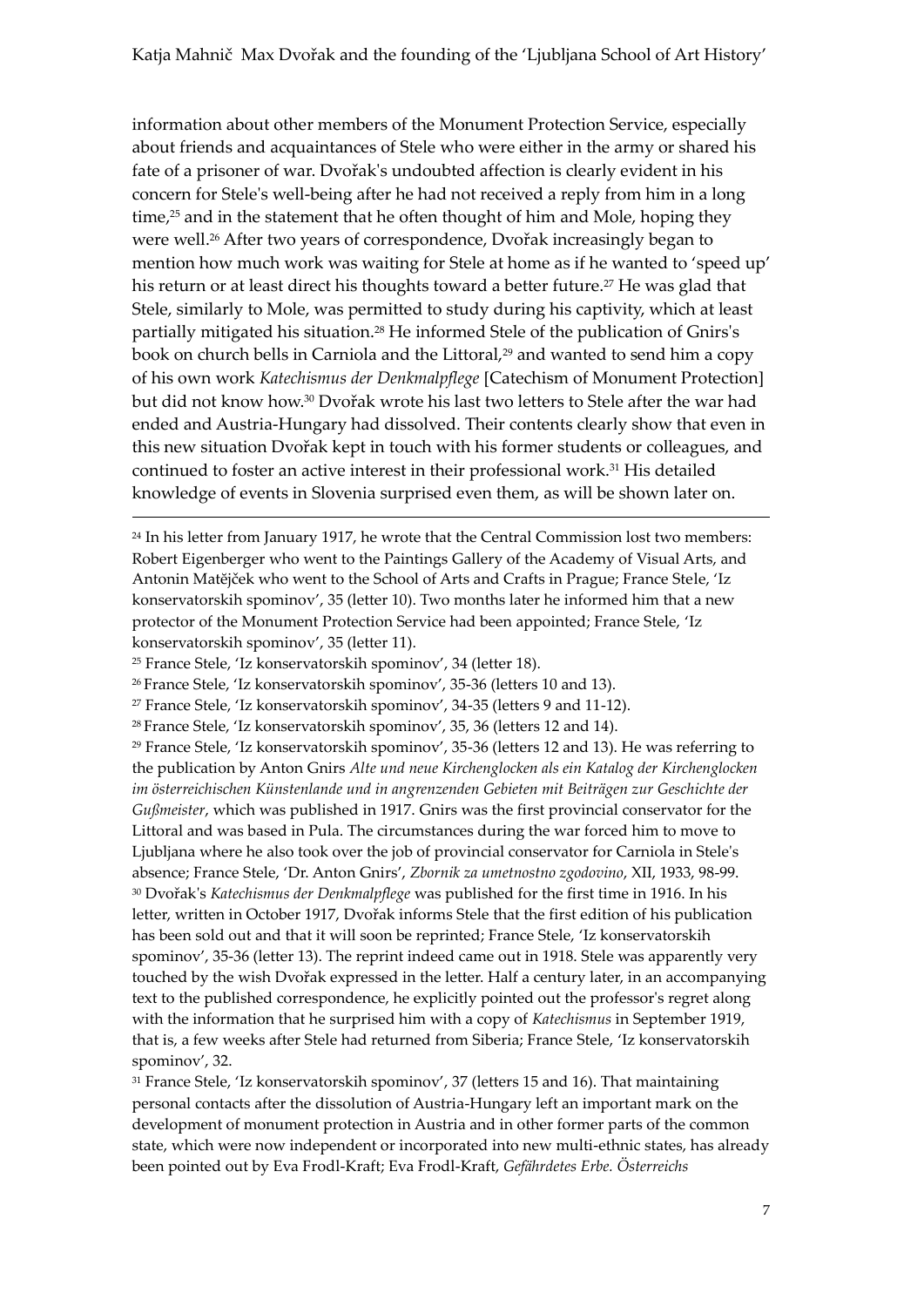information about other members of the Monument Protection Service, especially about friends and acquaintances of Stele who were either in the army or shared his fate of a prisoner of war. Dvořak's undoubted affection is clearly evident in his concern for Stele's well-being after he had not received a reply from him in a long time, $25$  and in the statement that he often thought of him and Mole, hoping they were well.<sup>26</sup> After two years of correspondence, Dvořak increasingly began to mention how much work was waiting for Stele at home as if he wanted to 'speed up' his return or at least direct his thoughts toward a better future.<sup>27</sup> He was glad that Stele, similarly to Mole, was permitted to study during his captivity, which at least partially mitigated his situation.<sup>28</sup> He informed Stele of the publication of Gnirs's book on church bells in Carniola and the Littoral,<sup>29</sup> and wanted to send him a copy of his own work *Katechismus der Denkmalpflege* [Catechism of Monument Protection] but did not know how.<sup>30</sup> Dvořak wrote his last two letters to Stele after the war had ended and Austria-Hungary had dissolved. Their contents clearly show that even in this new situation Dvořak kept in touch with his former students or colleagues, and continued to foster an active interest in their professional work.<sup>31</sup> His detailed knowledge of events in Slovenia surprised even them, as will be shown later on.

<sup>25</sup> France Stele, 'Iz konservatorskih spominov', 34 (letter 18).

1

<sup>26</sup> France Stele, 'Iz konservatorskih spominov', 35-36 (letters 10 and 13).

<sup>27</sup> France Stele, 'Iz konservatorskih spominov', 34-35 (letters 9 and 11-12).

<sup>29</sup> France Stele, 'Iz konservatorskih spominov', 35-36 (letters 12 and 13). He was referring to the publication by Anton Gnirs *Alte und neue Kirchenglocken als ein Katalog der Kirchenglocken im österreichischen Künstenlande und in angrenzenden Gebieten mit Beiträgen zur Geschichte der Gußmeister*, which was published in 1917. Gnirs was the first provincial conservator for the Littoral and was based in Pula. The circumstances during the war forced him to move to Ljubljana where he also took over the job of provincial conservator for Carniola in Stele's absence; France Stele, 'Dr. Anton Gnirs', *Zbornik za umetnostno zgodovino*, XII, 1933, 98-99. <sup>30</sup> Dvořak's *Katechismus der Denkmalpflege* was published for the first time in 1916. In his letter, written in October 1917, Dvořak informs Stele that the first edition of his publication has been sold out and that it will soon be reprinted; France Stele, 'Iz konservatorskih spominov', 35-36 (letter 13). The reprint indeed came out in 1918. Stele was apparently very touched by the wish Dvořak expressed in the letter. Half a century later, in an accompanying text to the published correspondence, he explicitly pointed out the professor's regret along with the information that he surprised him with a copy of *Katechismus* in September 1919, that is, a few weeks after Stele had returned from Siberia; France Stele, 'Iz konservatorskih spominov', 32.

<sup>31</sup> France Stele, 'Iz konservatorskih spominov', 37 (letters 15 and 16). That maintaining personal contacts after the dissolution of Austria-Hungary left an important mark on the development of monument protection in Austria and in other former parts of the common state, which were now independent or incorporated into new multi-ethnic states, has already been pointed out by Eva Frodl-Kraft; Eva Frodl-Kraft, *Gefährdetes Erbe. Österreichs* 

 $24$  In his letter from January 1917, he wrote that the Central Commission lost two members: Robert Eigenberger who went to the Paintings Gallery of the Academy of Visual Arts, and Antonin Matĕjček who went to the School of Arts and Crafts in Prague; France Stele, 'Iz konservatorskih spominov', 35 (letter 10). Two months later he informed him that a new protector of the Monument Protection Service had been appointed; France Stele, 'Iz konservatorskih spominov', 35 (letter 11).

<sup>28</sup> France Stele, 'Iz konservatorskih spominov', 35, 36 (letters 12 and 14).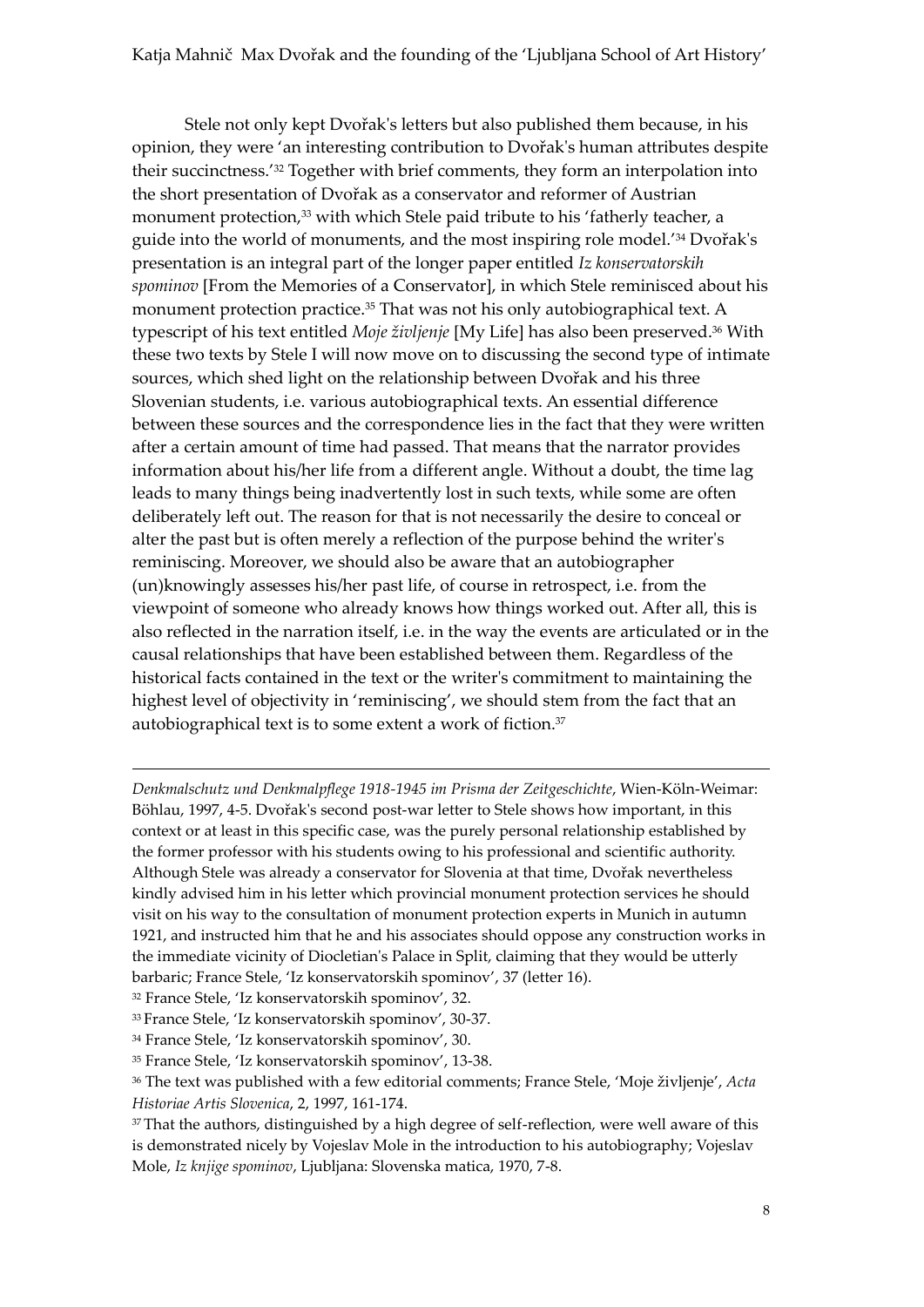Stele not only kept Dvořak's letters but also published them because, in his opinion, they were 'an interesting contribution to Dvořak's human attributes despite their succinctness.' <sup>32</sup> Together with brief comments, they form an interpolation into the short presentation of Dvořak as a conservator and reformer of Austrian monument protection,<sup>33</sup> with which Stele paid tribute to his 'fatherly teacher, a guide into the world of monuments, and the most inspiring role model.' <sup>34</sup> Dvořak's presentation is an integral part of the longer paper entitled *Iz konservatorskih spominov* [From the Memories of a Conservator], in which Stele reminisced about his monument protection practice.<sup>35</sup> That was not his only autobiographical text. A typescript of his text entitled *Moje življenje* [My Life] has also been preserved.<sup>36</sup> With these two texts by Stele I will now move on to discussing the second type of intimate sources, which shed light on the relationship between Dvořak and his three Slovenian students, i.e. various autobiographical texts. An essential difference between these sources and the correspondence lies in the fact that they were written after a certain amount of time had passed. That means that the narrator provides information about his/her life from a different angle. Without a doubt, the time lag leads to many things being inadvertently lost in such texts, while some are often deliberately left out. The reason for that is not necessarily the desire to conceal or alter the past but is often merely a reflection of the purpose behind the writer's reminiscing. Moreover, we should also be aware that an autobiographer (un)knowingly assesses his/her past life, of course in retrospect, i.e. from the viewpoint of someone who already knows how things worked out. After all, this is also reflected in the narration itself, i.e. in the way the events are articulated or in the causal relationships that have been established between them. Regardless of the historical facts contained in the text or the writer's commitment to maintaining the highest level of objectivity in 'reminiscing', we should stem from the fact that an autobiographical text is to some extent a work of fiction.<sup>37</sup>

*Denkmalschutz und Denkmalpflege 1918-1945 im Prisma der Zeitgeschichte*, Wien-Köln-Weimar: Böhlau, 1997, 4-5. Dvořak's second post-war letter to Stele shows how important, in this context or at least in this specific case, was the purely personal relationship established by the former professor with his students owing to his professional and scientific authority. Although Stele was already a conservator for Slovenia at that time, Dvořak nevertheless kindly advised him in his letter which provincial monument protection services he should visit on his way to the consultation of monument protection experts in Munich in autumn 1921, and instructed him that he and his associates should oppose any construction works in the immediate vicinity of Diocletian's Palace in Split, claiming that they would be utterly barbaric; France Stele, 'Iz konservatorskih spominov', 37 (letter 16).

<sup>32</sup> France Stele, 'Iz konservatorskih spominov', 32.

1

<sup>33</sup> France Stele, 'Iz konservatorskih spominov', 30-37.

<sup>34</sup> France Stele, 'Iz konservatorskih spominov', 30.

<sup>35</sup> France Stele, 'Iz konservatorskih spominov', 13-38.

<sup>36</sup> The text was published with a few editorial comments; France Stele, 'Moje življenje', *Acta Historiae Artis Slovenica*, 2, 1997, 161-174.

<sup>&</sup>lt;sup>37</sup> That the authors, distinguished by a high degree of self-reflection, were well aware of this is demonstrated nicely by Vojeslav Mole in the introduction to his autobiography; Vojeslav Mole, *Iz knjige spominov*, Ljubljana: Slovenska matica, 1970, 7-8.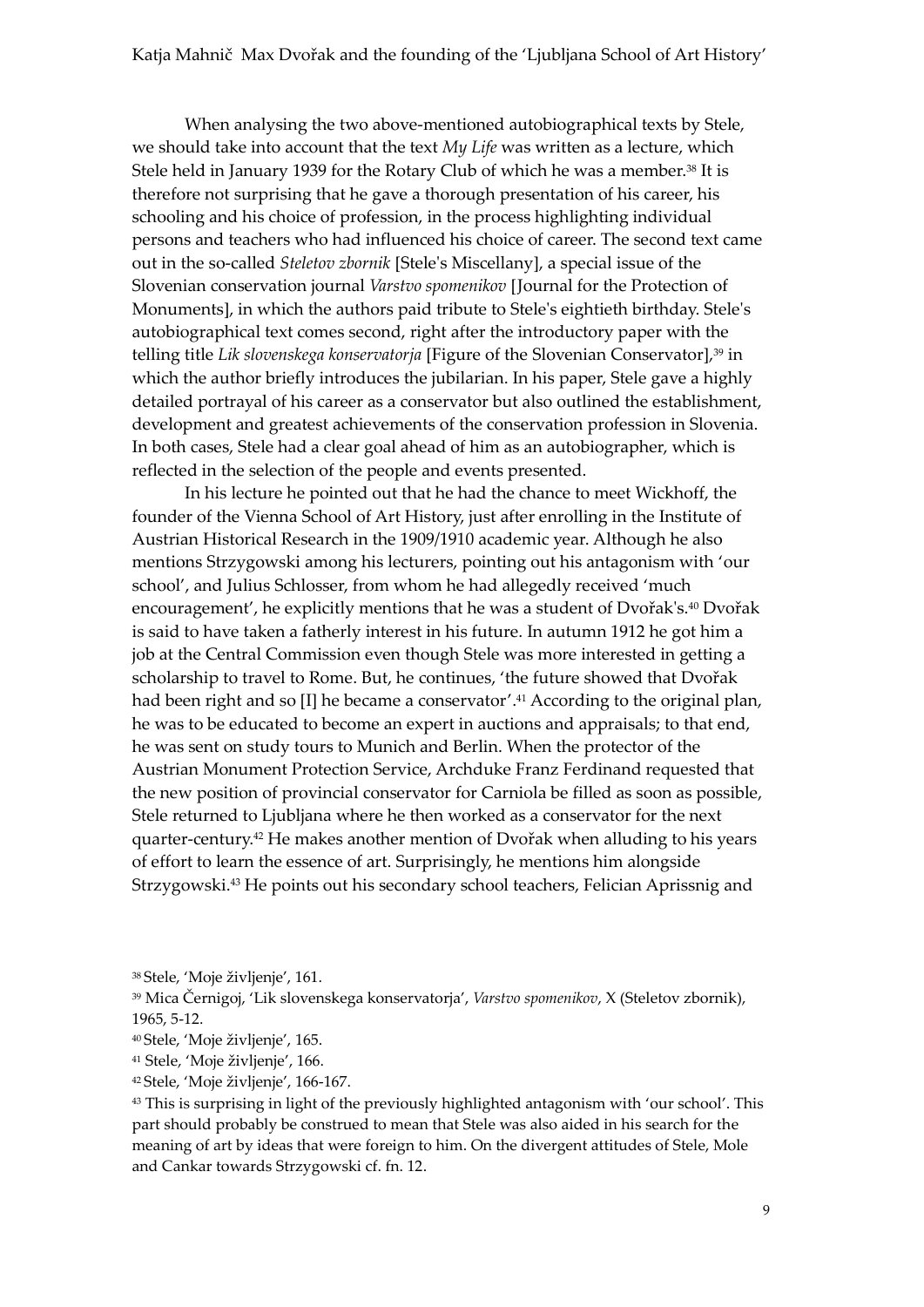When analysing the two above-mentioned autobiographical texts by Stele, we should take into account that the text *My Life* was written as a lecture, which Stele held in January 1939 for the Rotary Club of which he was a member.<sup>38</sup> It is therefore not surprising that he gave a thorough presentation of his career, his schooling and his choice of profession, in the process highlighting individual persons and teachers who had influenced his choice of career. The second text came out in the so-called *Steletov zbornik* [Stele's Miscellany], a special issue of the Slovenian conservation journal *Varstvo spomenikov* [Journal for the Protection of Monuments], in which the authors paid tribute to Stele's eightieth birthday. Stele's autobiographical text comes second, right after the introductory paper with the telling title *Lik slovenskega konservatorja* [Figure of the Slovenian Conservator],<sup>39</sup> in which the author briefly introduces the jubilarian. In his paper, Stele gave a highly detailed portrayal of his career as a conservator but also outlined the establishment, development and greatest achievements of the conservation profession in Slovenia. In both cases, Stele had a clear goal ahead of him as an autobiographer, which is reflected in the selection of the people and events presented.

In his lecture he pointed out that he had the chance to meet Wickhoff, the founder of the Vienna School of Art History, just after enrolling in the Institute of Austrian Historical Research in the 1909/1910 academic year. Although he also mentions Strzygowski among his lecturers, pointing out his antagonism with 'our school', and Julius Schlosser, from whom he had allegedly received 'much encouragement', he explicitly mentions that he was a student of Dvořak's.<sup>40</sup> Dvořak is said to have taken a fatherly interest in his future. In autumn 1912 he got him a job at the Central Commission even though Stele was more interested in getting a scholarship to travel to Rome. But, he continues, 'the future showed that Dvořak had been right and so [I] he became a conservator'. <sup>41</sup> According to the original plan, he was to be educated to become an expert in auctions and appraisals; to that end, he was sent on study tours to Munich and Berlin. When the protector of the Austrian Monument Protection Service, Archduke Franz Ferdinand requested that the new position of provincial conservator for Carniola be filled as soon as possible, Stele returned to Ljubljana where he then worked as a conservator for the next quarter-century.<sup>42</sup> He makes another mention of Dvořak when alluding to his years of effort to learn the essence of art. Surprisingly, he mentions him alongside Strzygowski.<sup>43</sup> He points out his secondary school teachers, Felician Aprissnig and

<sup>43</sup> This is surprising in light of the previously highlighted antagonism with 'our school'. This part should probably be construed to mean that Stele was also aided in his search for the meaning of art by ideas that were foreign to him. On the divergent attitudes of Stele, Mole and Cankar towards Strzygowski cf. fn. 12.

<sup>38</sup> Stele, 'Moje življenje', 161.

<sup>39</sup> Mica Černigoj, 'Lik slovenskega konservatorja', *Varstvo spomenikov*, X (Steletov zbornik), 1965, 5-12.

<sup>40</sup> Stele, 'Moje življenje', 165.

<sup>41</sup> Stele, 'Moje življenje', 166.

<sup>42</sup> Stele, 'Moje življenje', 166-167.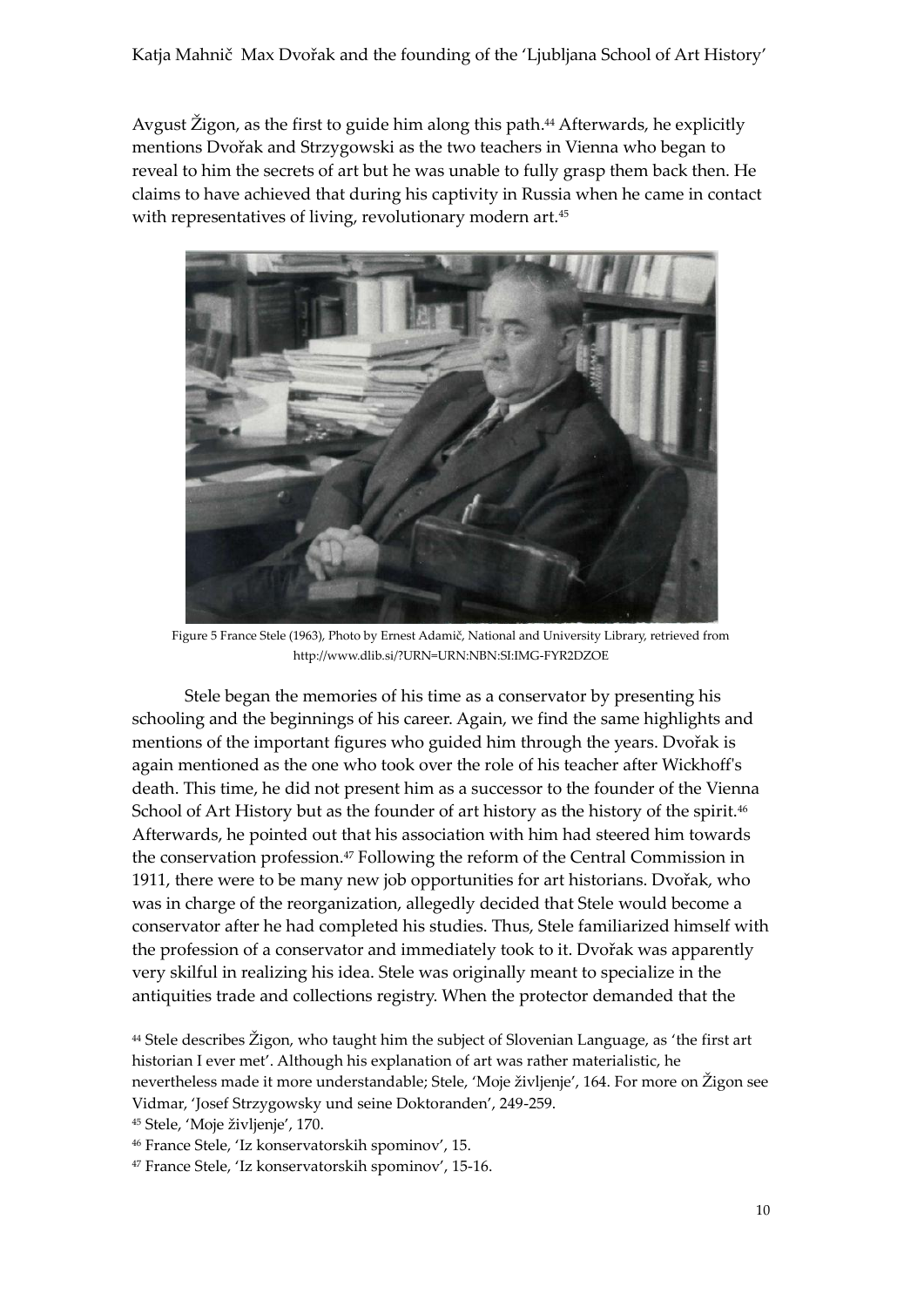Avgust Žigon, as the first to guide him along this path.<sup>44</sup> Afterwards, he explicitly mentions Dvořak and Strzygowski as the two teachers in Vienna who began to reveal to him the secrets of art but he was unable to fully grasp them back then. He claims to have achieved that during his captivity in Russia when he came in contact with representatives of living, revolutionary modern art.<sup>45</sup>



Figure 5 France Stele (1963), Photo by Ernest Adamič, National and University Library, retrieved from http://www.dlib.si/?URN=URN:NBN:SI:IMG-FYR2DZOE

Stele began the memories of his time as a conservator by presenting his schooling and the beginnings of his career. Again, we find the same highlights and mentions of the important figures who guided him through the years. Dvořak is again mentioned as the one who took over the role of his teacher after Wickhoff's death. This time, he did not present him as a successor to the founder of the Vienna School of Art History but as the founder of art history as the history of the spirit.<sup>46</sup> Afterwards, he pointed out that his association with him had steered him towards the conservation profession.<sup>47</sup> Following the reform of the Central Commission in 1911, there were to be many new job opportunities for art historians. Dvořak, who was in charge of the reorganization, allegedly decided that Stele would become a conservator after he had completed his studies. Thus, Stele familiarized himself with the profession of a conservator and immediately took to it. Dvořak was apparently very skilful in realizing his idea. Stele was originally meant to specialize in the antiquities trade and collections registry. When the protector demanded that the

<sup>44</sup> Stele describes Žigon, who taught him the subject of Slovenian Language, as 'the first art historian I ever met'. Although his explanation of art was rather materialistic, he nevertheless made it more understandable; Stele, 'Moje življenje', 164. For more on Žigon see Vidmar, 'Josef Strzygowsky und seine Doktoranden', 249-259.

<sup>45</sup> Stele, 'Moje življenje', 170.

<sup>46</sup> France Stele, 'Iz konservatorskih spominov', 15.

<sup>47</sup> France Stele, 'Iz konservatorskih spominov', 15-16.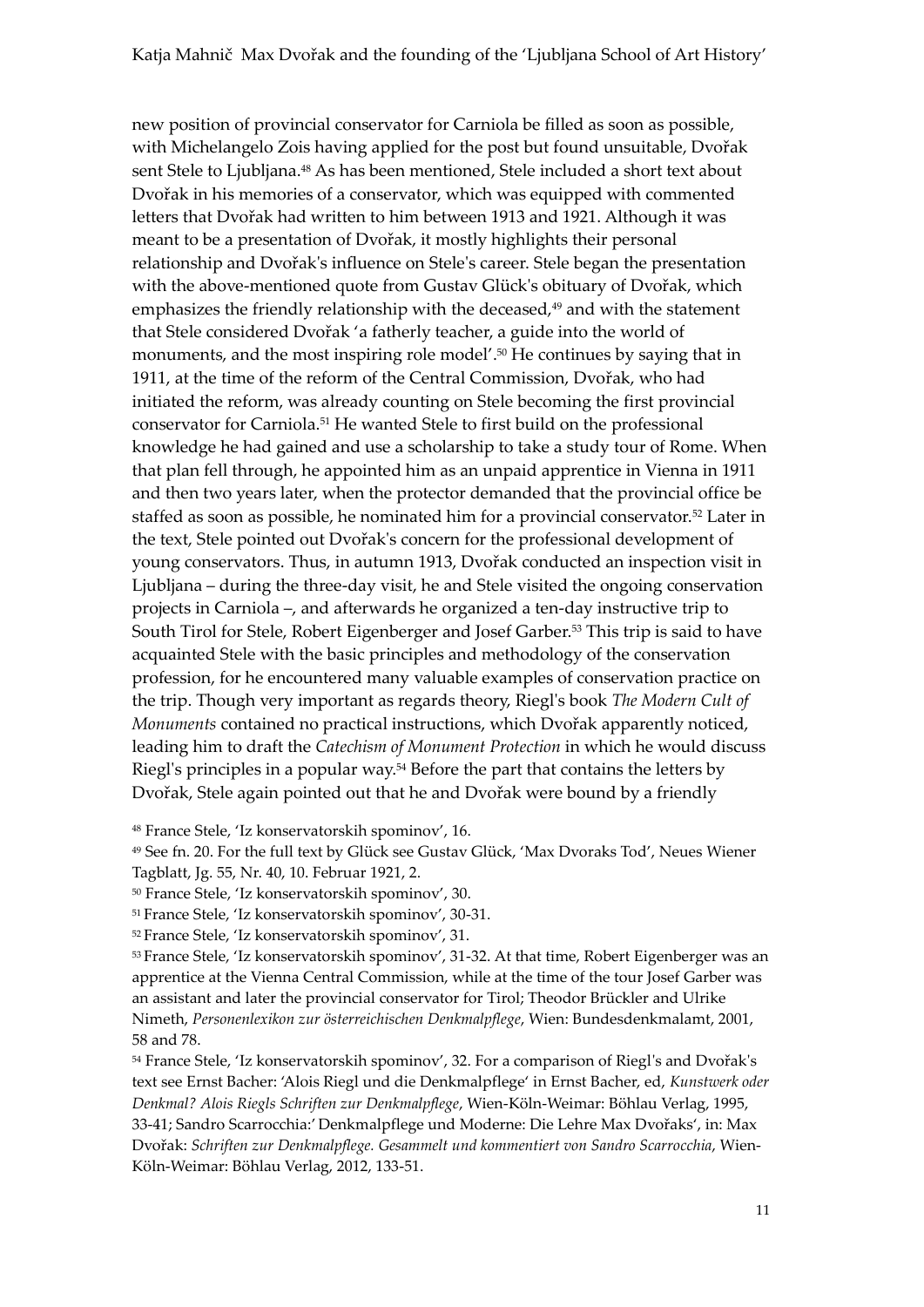new position of provincial conservator for Carniola be filled as soon as possible, with Michelangelo Zois having applied for the post but found unsuitable, Dvořak sent Stele to Ljubljana.<sup>48</sup> As has been mentioned, Stele included a short text about Dvořak in his memories of a conservator, which was equipped with commented letters that Dvořak had written to him between 1913 and 1921. Although it was meant to be a presentation of Dvořak, it mostly highlights their personal relationship and Dvořak's influence on Stele's career. Stele began the presentation with the above-mentioned quote from Gustav Glück's obituary of Dvořak, which emphasizes the friendly relationship with the deceased,<sup>49</sup> and with the statement that Stele considered Dvořak 'a fatherly teacher, a guide into the world of monuments, and the most inspiring role model'. <sup>50</sup> He continues by saying that in 1911, at the time of the reform of the Central Commission, Dvořak, who had initiated the reform, was already counting on Stele becoming the first provincial conservator for Carniola.<sup>51</sup> He wanted Stele to first build on the professional knowledge he had gained and use a scholarship to take a study tour of Rome. When that plan fell through, he appointed him as an unpaid apprentice in Vienna in 1911 and then two years later, when the protector demanded that the provincial office be staffed as soon as possible, he nominated him for a provincial conservator.<sup>52</sup> Later in the text, Stele pointed out Dvořak's concern for the professional development of young conservators. Thus, in autumn 1913, Dvořak conducted an inspection visit in Ljubljana – during the three-day visit, he and Stele visited the ongoing conservation projects in Carniola –, and afterwards he organized a ten-day instructive trip to South Tirol for Stele, Robert Eigenberger and Josef Garber.<sup>53</sup> This trip is said to have acquainted Stele with the basic principles and methodology of the conservation profession, for he encountered many valuable examples of conservation practice on the trip. Though very important as regards theory, Riegl's book *The Modern Cult of Monuments* contained no practical instructions, which Dvořak apparently noticed, leading him to draft the *Catechism of Monument Protection* in which he would discuss Riegl's principles in a popular way.<sup>54</sup> Before the part that contains the letters by Dvořak, Stele again pointed out that he and Dvořak were bound by a friendly

<sup>48</sup> France Stele, 'Iz konservatorskih spominov', 16.

<sup>49</sup> See fn. 20. For the full text by Glück see Gustav Glück, 'Max Dvoraks Tod', Neues Wiener Tagblatt, Jg. 55, Nr. 40, 10. Februar 1921, 2.

<sup>50</sup> France Stele, 'Iz konservatorskih spominov', 30.

<sup>51</sup> France Stele, 'Iz konservatorskih spominov', 30-31.

<sup>52</sup> France Stele, 'Iz konservatorskih spominov', 31.

<sup>53</sup> France Stele, 'Iz konservatorskih spominov', 31-32. At that time, Robert Eigenberger was an apprentice at the Vienna Central Commission, while at the time of the tour Josef Garber was an assistant and later the provincial conservator for Tirol; Theodor Brückler and Ulrike Nimeth, *Personenlexikon zur österreichischen Denkmalpflege*, Wien: Bundesdenkmalamt, 2001, 58 and 78.

<sup>54</sup> France Stele, 'Iz konservatorskih spominov', 32. For a comparison of Riegl's and Dvořak's text see Ernst Bacher: 'Alois Riegl und die Denkmalpflege' in Ernst Bacher, ed, *Kunstwerk oder Denkmal? Alois Riegls Schriften zur Denkmalpflege*, Wien-Köln-Weimar: Böhlau Verlag, 1995, 33-41; Sandro Scarrocchia:' Denkmalpflege und Moderne: Die Lehre Max Dvořaks', in: Max Dvořak: *Schriften zur Denkmalpflege. Gesammelt und kommentiert von Sandro Scarrocchia*, Wien-Köln-Weimar: Böhlau Verlag, 2012, 133-51.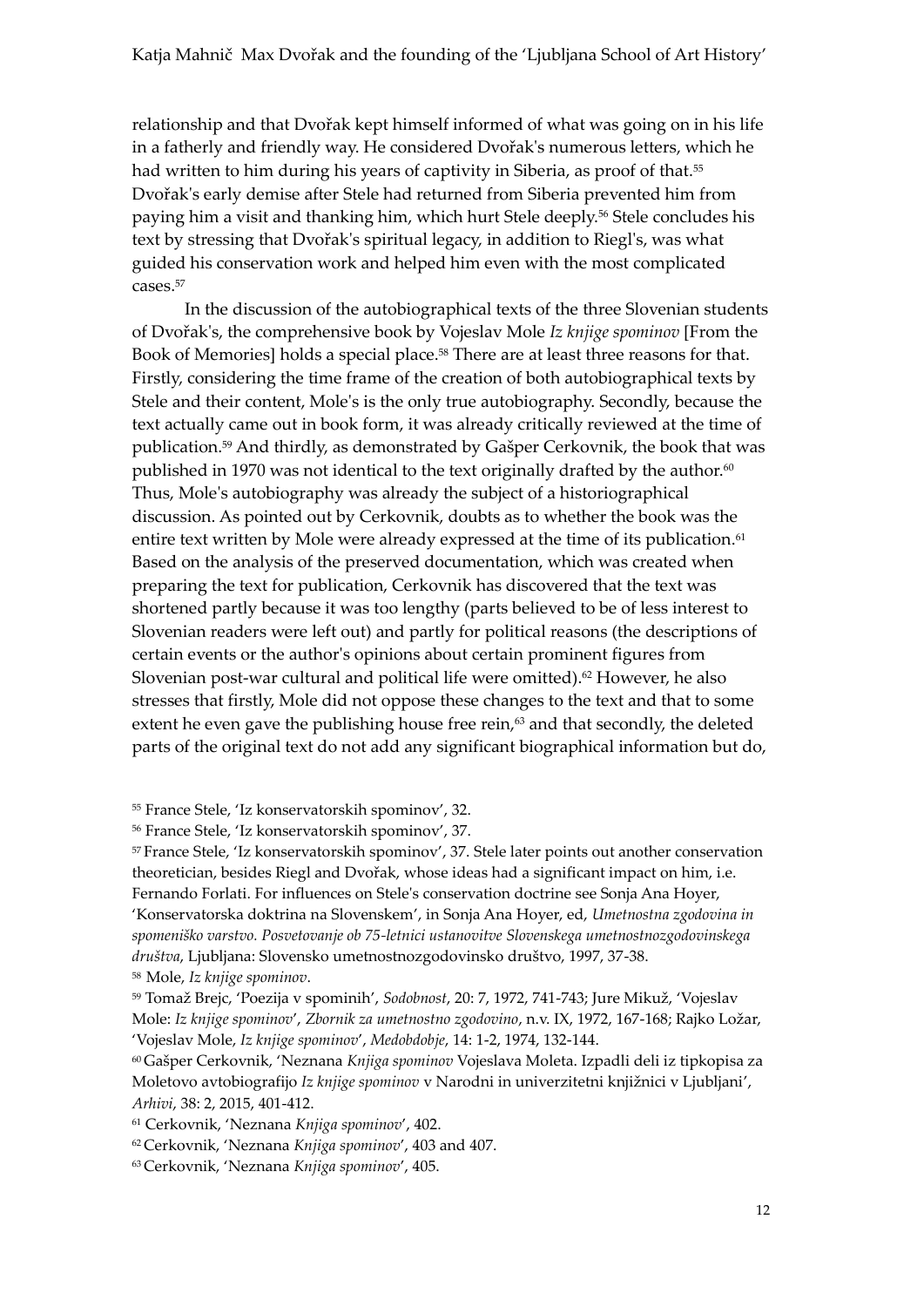relationship and that Dvořak kept himself informed of what was going on in his life in a fatherly and friendly way. He considered Dvořak's numerous letters, which he had written to him during his years of captivity in Siberia, as proof of that.<sup>55</sup> Dvořak's early demise after Stele had returned from Siberia prevented him from paying him a visit and thanking him, which hurt Stele deeply.<sup>56</sup> Stele concludes his text by stressing that Dvořak's spiritual legacy, in addition to Riegl's, was what guided his conservation work and helped him even with the most complicated cases.<sup>57</sup>

In the discussion of the autobiographical texts of the three Slovenian students of Dvořak's, the comprehensive book by Vojeslav Mole *Iz knjige spominov* [From the Book of Memories] holds a special place.<sup>58</sup> There are at least three reasons for that. Firstly, considering the time frame of the creation of both autobiographical texts by Stele and their content, Mole's is the only true autobiography. Secondly, because the text actually came out in book form, it was already critically reviewed at the time of publication.<sup>59</sup> And thirdly, as demonstrated by Gašper Cerkovnik, the book that was published in 1970 was not identical to the text originally drafted by the author. $60$ Thus, Mole's autobiography was already the subject of a historiographical discussion. As pointed out by Cerkovnik, doubts as to whether the book was the entire text written by Mole were already expressed at the time of its publication.<sup>61</sup> Based on the analysis of the preserved documentation, which was created when preparing the text for publication, Cerkovnik has discovered that the text was shortened partly because it was too lengthy (parts believed to be of less interest to Slovenian readers were left out) and partly for political reasons (the descriptions of certain events or the author's opinions about certain prominent figures from Slovenian post-war cultural and political life were omitted).<sup>62</sup> However, he also stresses that firstly, Mole did not oppose these changes to the text and that to some extent he even gave the publishing house free rein,<sup>63</sup> and that secondly, the deleted parts of the original text do not add any significant biographical information but do,

<sup>55</sup> France Stele, 'Iz konservatorskih spominov', 32.

<sup>57</sup> France Stele, 'Iz konservatorskih spominov', 37. Stele later points out another conservation theoretician, besides Riegl and Dvořak, whose ideas had a significant impact on him, i.e. Fernando Forlati. For influences on Stele's conservation doctrine see Sonja Ana Hoyer, 'Konservatorska doktrina na Slovenskem', in Sonja Ana Hoyer, ed, *Umetnostna zgodovina in spomeniško varstvo. Posvetovanje ob 75-letnici ustanovitve Slovenskega umetnostnozgodovinskega društva*, Ljubljana: Slovensko umetnostnozgodovinsko društvo, 1997, 37-38.

<sup>58</sup>Mole, *Iz knjige spominov*.

<sup>59</sup> Tomaž Brejc, 'Poezija v spominih', *Sodobnost*, 20: 7, 1972, 741-743; Jure Mikuž, 'Vojeslav Mole: *Iz knjige spominov*', *Zbornik za umetnostno zgodovino*, n.v. IX, 1972, 167-168; Rajko Ložar, 'Vojeslav Mole, *Iz knjige spominov*', *Medobdobje*, 14: 1-2, 1974, 132-144.

<sup>60</sup> Gašper Cerkovnik, 'Neznana *Knjiga spominov* Vojeslava Moleta. Izpadli deli iz tipkopisa za Moletovo avtobiografijo *Iz knjige spominov* v Narodni in univerzitetni knjižnici v Ljubljani', *Arhivi*, 38: 2, 2015, 401-412.

<sup>62</sup> Cerkovnik, 'Neznana *Knjiga spominov*', 403 and 407.

<sup>56</sup> France Stele, 'Iz konservatorskih spominov', 37.

<sup>61</sup> Cerkovnik, 'Neznana *Knjiga spominov*', 402.

<sup>63</sup> Cerkovnik, 'Neznana *Knjiga spominov*', 405.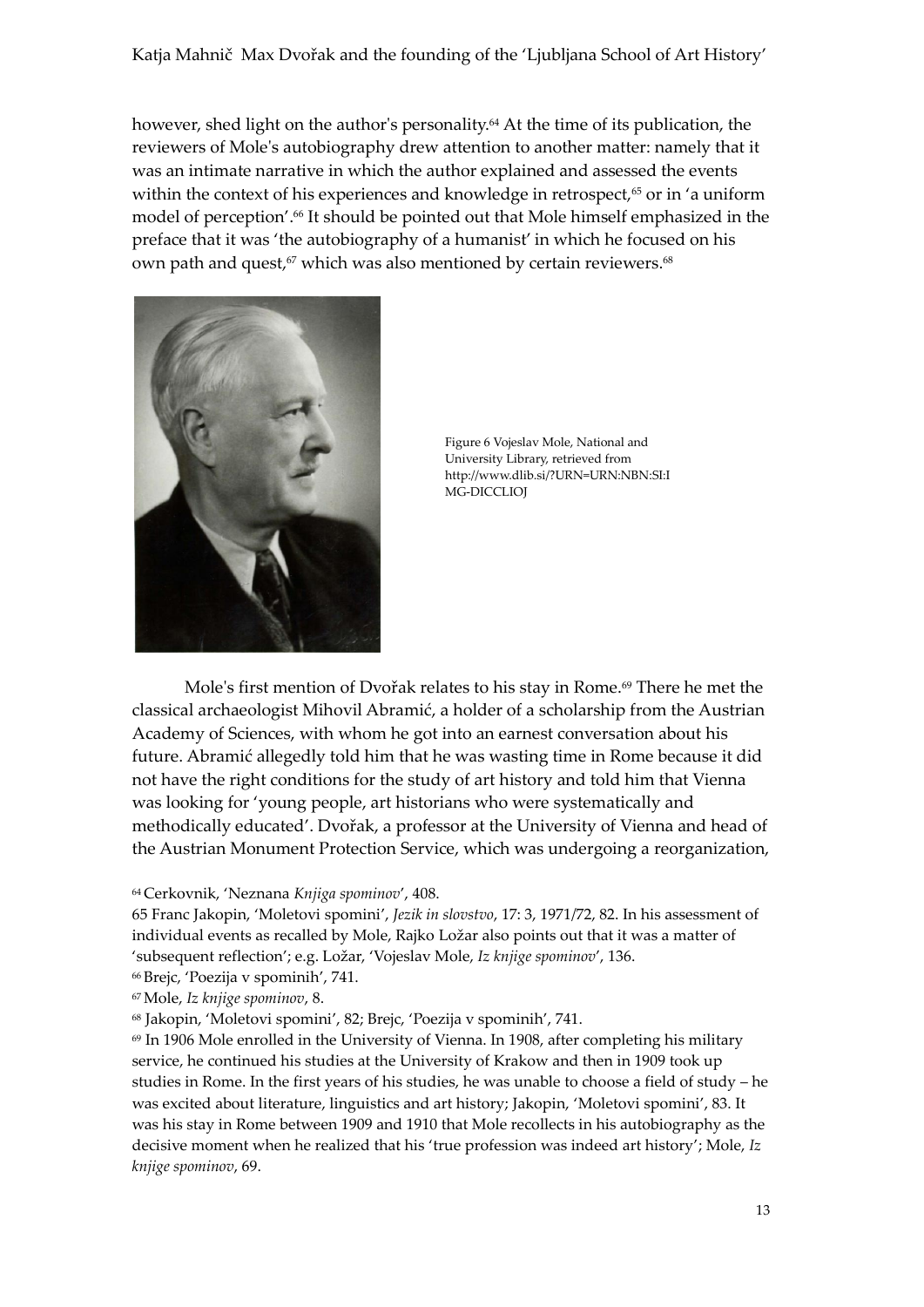however, shed light on the author's personality.<sup>64</sup> At the time of its publication, the reviewers of Mole's autobiography drew attention to another matter: namely that it was an intimate narrative in which the author explained and assessed the events within the context of his experiences and knowledge in retrospect,<sup>65</sup> or in 'a uniform model of perception'. <sup>66</sup> It should be pointed out that Mole himself emphasized in the preface that it was 'the autobiography of a humanist' in which he focused on his own path and quest,<sup>67</sup> which was also mentioned by certain reviewers.<sup>68</sup>



Figure 6 Vojeslav Mole, National and University Library, retrieved from http://www.dlib.si/?URN=URN:NBN:SI:I MG-DICCLIOJ

Mole's first mention of Dvořak relates to his stay in Rome.<sup>69</sup> There he met the classical archaeologist Mihovil Abramić, a holder of a scholarship from the Austrian Academy of Sciences, with whom he got into an earnest conversation about his future. Abramić allegedly told him that he was wasting time in Rome because it did not have the right conditions for the study of art history and told him that Vienna was looking for 'young people, art historians who were systematically and methodically educated'. Dvořak, a professor at the University of Vienna and head of the Austrian Monument Protection Service, which was undergoing a reorganization,

## <sup>64</sup> Cerkovnik, 'Neznana *Knjiga spominov*', 408.

65 Franc Jakopin, 'Moletovi spomini', *Jezik in slovstvo*, 17: 3, 1971/72, 82. In his assessment of individual events as recalled by Mole, Rajko Ložar also points out that it was a matter of 'subsequent reflection'; e.g. Ložar, 'Vojeslav Mole, *Iz knjige spominov*', 136.

<sup>66</sup> Brejc, 'Poezija v spominih', 741.

<sup>67</sup>Mole, *Iz knjige spominov*, 8.

<sup>68</sup> Jakopin, 'Moletovi spomini', 82; Brejc, 'Poezija v spominih', 741.

 $69$  In 1906 Mole enrolled in the University of Vienna. In 1908, after completing his military service, he continued his studies at the University of Krakow and then in 1909 took up studies in Rome. In the first years of his studies, he was unable to choose a field of study – he was excited about literature, linguistics and art history; Jakopin, 'Moletovi spomini', 83. It was his stay in Rome between 1909 and 1910 that Mole recollects in his autobiography as the decisive moment when he realized that his 'true profession was indeed art history'; Mole, *Iz knjige spominov*, 69.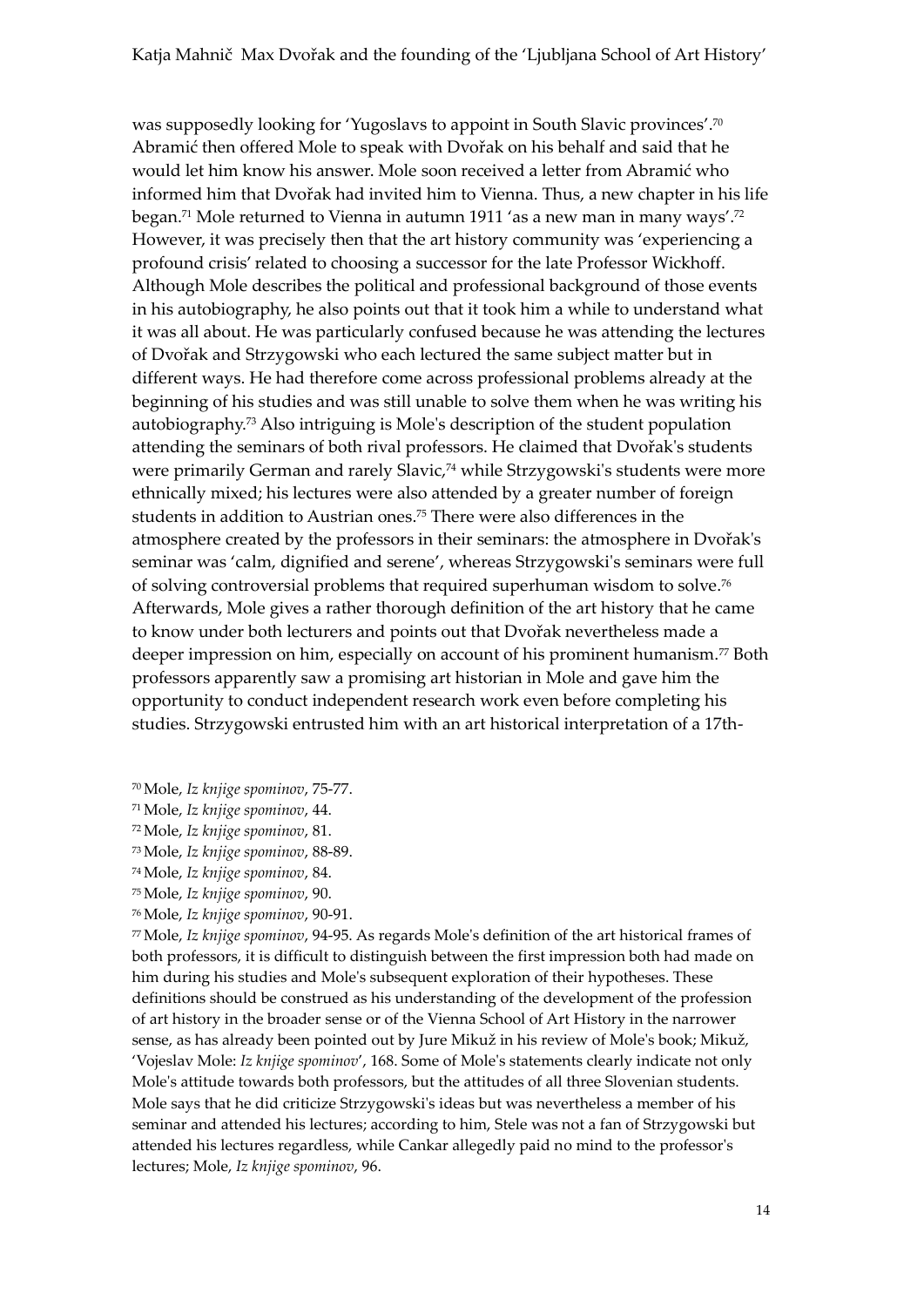was supposedly looking for 'Yugoslavs to appoint in South Slavic provinces'. 70 Abramić then offered Mole to speak with Dvořak on his behalf and said that he would let him know his answer. Mole soon received a letter from Abramić who informed him that Dvořak had invited him to Vienna. Thus, a new chapter in his life began.<sup>71</sup> Mole returned to Vienna in autumn 1911 'as a new man in many ways'. 72 However, it was precisely then that the art history community was 'experiencing a profound crisis'related to choosing a successor for the late Professor Wickhoff. Although Mole describes the political and professional background of those events in his autobiography, he also points out that it took him a while to understand what it was all about. He was particularly confused because he was attending the lectures of Dvořak and Strzygowski who each lectured the same subject matter but in different ways. He had therefore come across professional problems already at the beginning of his studies and was still unable to solve them when he was writing his autobiography.<sup>73</sup> Also intriguing is Mole's description of the student population attending the seminars of both rival professors. He claimed that Dvořak's students were primarily German and rarely Slavic,<sup>74</sup> while Strzygowski's students were more ethnically mixed; his lectures were also attended by a greater number of foreign students in addition to Austrian ones.<sup>75</sup> There were also differences in the atmosphere created by the professors in their seminars: the atmosphere in Dvořak's seminar was 'calm, dignified and serene', whereas Strzygowski's seminars were full of solving controversial problems that required superhuman wisdom to solve.<sup>76</sup> Afterwards, Mole gives a rather thorough definition of the art history that he came to know under both lecturers and points out that Dvořak nevertheless made a deeper impression on him, especially on account of his prominent humanism.<sup>77</sup> Both professors apparently saw a promising art historian in Mole and gave him the opportunity to conduct independent research work even before completing his studies. Strzygowski entrusted him with an art historical interpretation of a 17th-

- <sup>70</sup>Mole, *Iz knjige spominov*, 75-77.
- <sup>71</sup>Mole, *Iz knjige spominov*, 44.
- <sup>72</sup>Mole, *Iz knjige spominov*, 81.
- <sup>73</sup>Mole, *Iz knjige spominov*, 88-89.
- <sup>74</sup>Mole, *Iz knjige spominov*, 84.
- <sup>75</sup>Mole, *Iz knjige spominov*, 90.
- <sup>76</sup>Mole, *Iz knjige spominov*, 90-91.

<sup>77</sup>Mole, *Iz knjige spominov*, 94-95. As regards Mole's definition of the art historical frames of both professors, it is difficult to distinguish between the first impression both had made on him during his studies and Mole's subsequent exploration of their hypotheses. These definitions should be construed as his understanding of the development of the profession of art history in the broader sense or of the Vienna School of Art History in the narrower sense, as has already been pointed out by Jure Mikuž in his review of Mole's book; Mikuž, 'Vojeslav Mole: *Iz knjige spominov*', 168. Some of Mole's statements clearly indicate not only Mole's attitude towards both professors, but the attitudes of all three Slovenian students. Mole says that he did criticize Strzygowski's ideas but was nevertheless a member of his seminar and attended his lectures; according to him, Stele was not a fan of Strzygowski but attended his lectures regardless, while Cankar allegedly paid no mind to the professor's lectures; Mole, *Iz knjige spominov*, 96.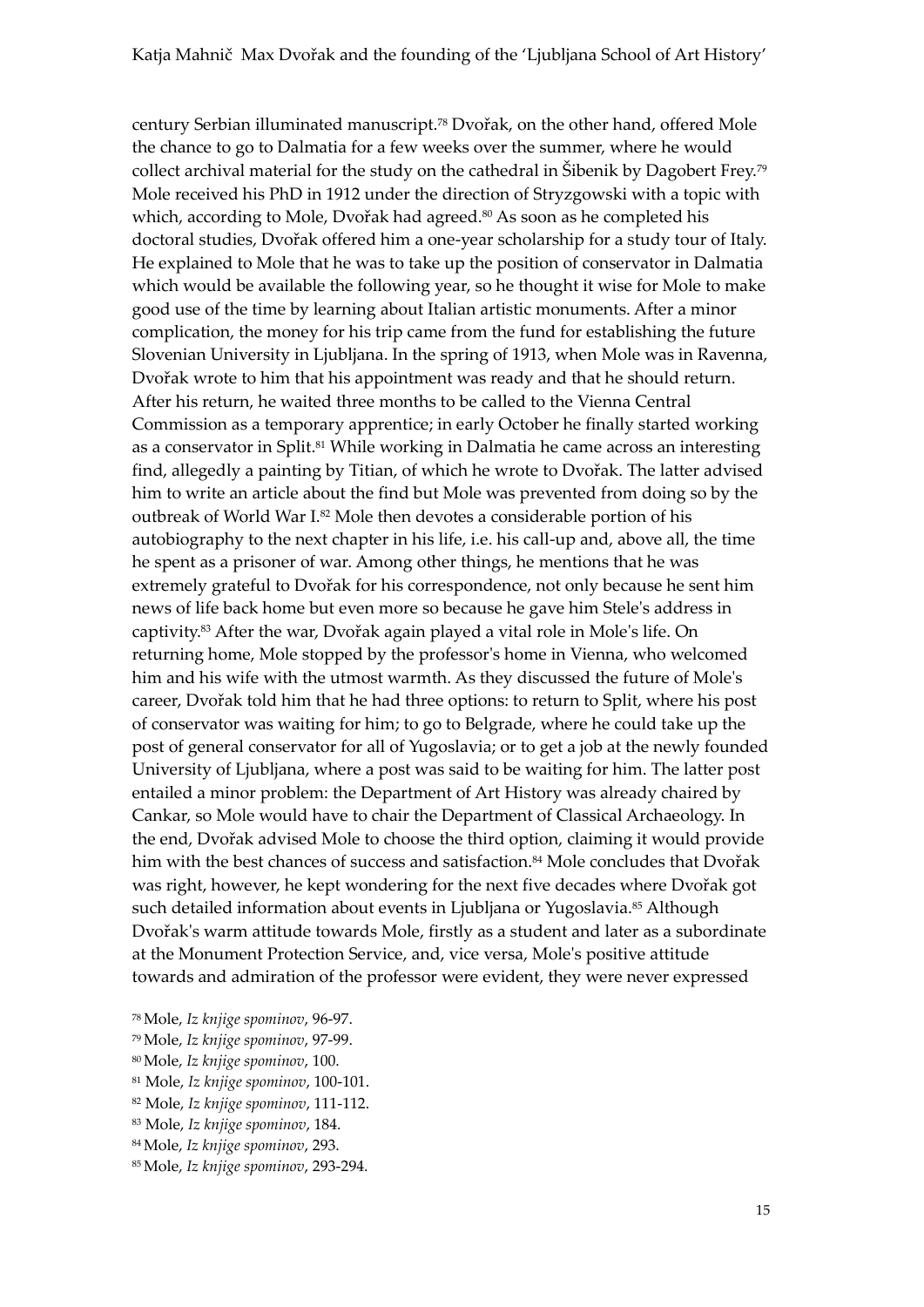century Serbian illuminated manuscript.<sup>78</sup> Dvořak, on the other hand, offered Mole the chance to go to Dalmatia for a few weeks over the summer, where he would collect archival material for the study on the cathedral in Šibenik by Dagobert Frey.<sup>79</sup> Mole received his PhD in 1912 under the direction of Stryzgowski with a topic with which, according to Mole, Dvořak had agreed.<sup>80</sup> As soon as he completed his doctoral studies, Dvořak offered him a one-year scholarship for a study tour of Italy. He explained to Mole that he was to take up the position of conservator in Dalmatia which would be available the following year, so he thought it wise for Mole to make good use of the time by learning about Italian artistic monuments. After a minor complication, the money for his trip came from the fund for establishing the future Slovenian University in Ljubljana. In the spring of 1913, when Mole was in Ravenna, Dvořak wrote to him that his appointment was ready and that he should return. After his return, he waited three months to be called to the Vienna Central Commission as a temporary apprentice; in early October he finally started working as a conservator in Split.<sup>81</sup> While working in Dalmatia he came across an interesting find, allegedly a painting by Titian, of which he wrote to Dvořak. The latter advised him to write an article about the find but Mole was prevented from doing so by the outbreak of World War I.<sup>82</sup> Mole then devotes a considerable portion of his autobiography to the next chapter in his life, i.e. his call-up and, above all, the time he spent as a prisoner of war. Among other things, he mentions that he was extremely grateful to Dvořak for his correspondence, not only because he sent him news of life back home but even more so because he gave him Stele's address in captivity.<sup>83</sup> After the war, Dvořak again played a vital role in Mole's life. On returning home, Mole stopped by the professor's home in Vienna, who welcomed him and his wife with the utmost warmth. As they discussed the future of Mole's career, Dvořak told him that he had three options: to return to Split, where his post of conservator was waiting for him; to go to Belgrade, where he could take up the post of general conservator for all of Yugoslavia; or to get a job at the newly founded University of Ljubljana, where a post was said to be waiting for him. The latter post entailed a minor problem: the Department of Art History was already chaired by Cankar, so Mole would have to chair the Department of Classical Archaeology. In the end, Dvořak advised Mole to choose the third option, claiming it would provide him with the best chances of success and satisfaction.<sup>84</sup> Mole concludes that Dvořak was right, however, he kept wondering for the next five decades where Dvořak got such detailed information about events in Ljubljana or Yugoslavia.<sup>85</sup> Although Dvořak's warm attitude towards Mole, firstly as a student and later as a subordinate at the Monument Protection Service, and, vice versa, Mole's positive attitude towards and admiration of the professor were evident, they were never expressed

- <sup>78</sup>Mole, *Iz knjige spominov*, 96-97.
- <sup>79</sup>Mole, *Iz knjige spominov*, 97-99.
- <sup>80</sup>Mole, *Iz knjige spominov*, 100.
- <sup>81</sup> Mole, *Iz knjige spominov*, 100-101.
- <sup>82</sup> Mole, *Iz knjige spominov*, 111-112.
- <sup>83</sup> Mole, *Iz knjige spominov*, 184.
- <sup>84</sup>Mole, *Iz knjige spominov*, 293.
- 85Mole, *Iz knjige spominov*, 293-294.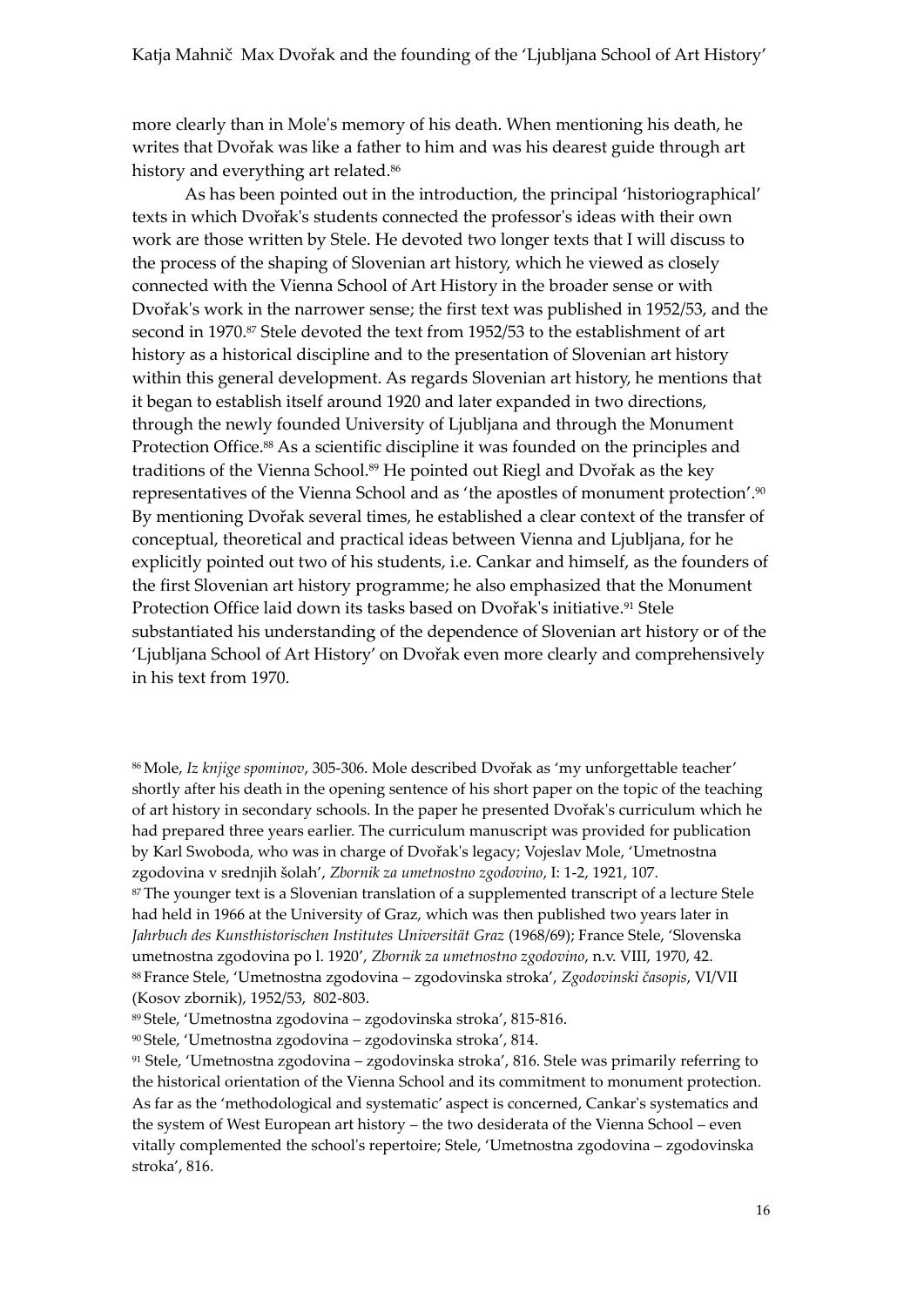more clearly than in Mole's memory of his death. When mentioning his death, he writes that Dvořak was like a father to him and was his dearest guide through art history and everything art related.<sup>86</sup>

As has been pointed out in the introduction, the principal 'historiographical' texts in which Dvořak's students connected the professor's ideas with their own work are those written by Stele. He devoted two longer texts that I will discuss to the process of the shaping of Slovenian art history, which he viewed as closely connected with the Vienna School of Art History in the broader sense or with Dvořak's work in the narrower sense; the first text was published in 1952/53, and the second in 1970.87 Stele devoted the text from 1952/53 to the establishment of art history as a historical discipline and to the presentation of Slovenian art history within this general development. As regards Slovenian art history, he mentions that it began to establish itself around 1920 and later expanded in two directions, through the newly founded University of Ljubljana and through the Monument Protection Office.<sup>88</sup> As a scientific discipline it was founded on the principles and traditions of the Vienna School.<sup>89</sup> He pointed out Riegl and Dvořak as the key representatives of the Vienna School and as 'the apostles of monument protection'. 90 By mentioning Dvořak several times, he established a clear context of the transfer of conceptual, theoretical and practical ideas between Vienna and Ljubljana, for he explicitly pointed out two of his students, i.e. Cankar and himself, as the founders of the first Slovenian art history programme; he also emphasized that the Monument Protection Office laid down its tasks based on Dvořak's initiative.<sup>91</sup> Stele substantiated his understanding of the dependence of Slovenian art history or of the 'Ljubljana School of Art History' on Dvořak even more clearly and comprehensively in his text from 1970.

<sup>86</sup>Mole, *Iz knjige spominov*, 305-306. Mole described Dvořak as 'my unforgettable teacher' shortly after his death in the opening sentence of his short paper on the topic of the teaching of art history in secondary schools. In the paper he presented Dvořak's curriculum which he had prepared three years earlier. The curriculum manuscript was provided for publication by Karl Swoboda, who was in charge of Dvořak's legacy; Vojeslav Mole, 'Umetnostna zgodovina v srednjih šolah', *Zbornik za umetnostno zgodovino*, I: 1-2, 1921, 107.

<sup>87</sup> The younger text is a Slovenian translation of a supplemented transcript of a lecture Stele had held in 1966 at the University of Graz, which was then published two years later in *Jahrbuch des Kunsthistorischen Institutes Universität Graz* (1968/69); France Stele, 'Slovenska umetnostna zgodovina po l. 1920', *Zbornik za umetnostno zgodovino*, n.v. VIII, 1970, 42. <sup>88</sup> France Stele, 'Umetnostna zgodovina – zgodovinska stroka', *Zgodovinski časopis*, VI/VII (Kosov zbornik), 1952/53, 802-803.

<sup>89</sup> Stele, 'Umetnostna zgodovina – zgodovinska stroka', 815-816.

<sup>90</sup> Stele, 'Umetnostna zgodovina – zgodovinska stroka', 814.

<sup>91</sup> Stele, 'Umetnostna zgodovina – zgodovinska stroka', 816. Stele was primarily referring to the historical orientation of the Vienna School and its commitment to monument protection. As far as the 'methodological and systematic' aspect is concerned, Cankar's systematics and the system of West European art history – the two desiderata of the Vienna School – even vitally complemented the school's repertoire; Stele, 'Umetnostna zgodovina – zgodovinska stroka', 816.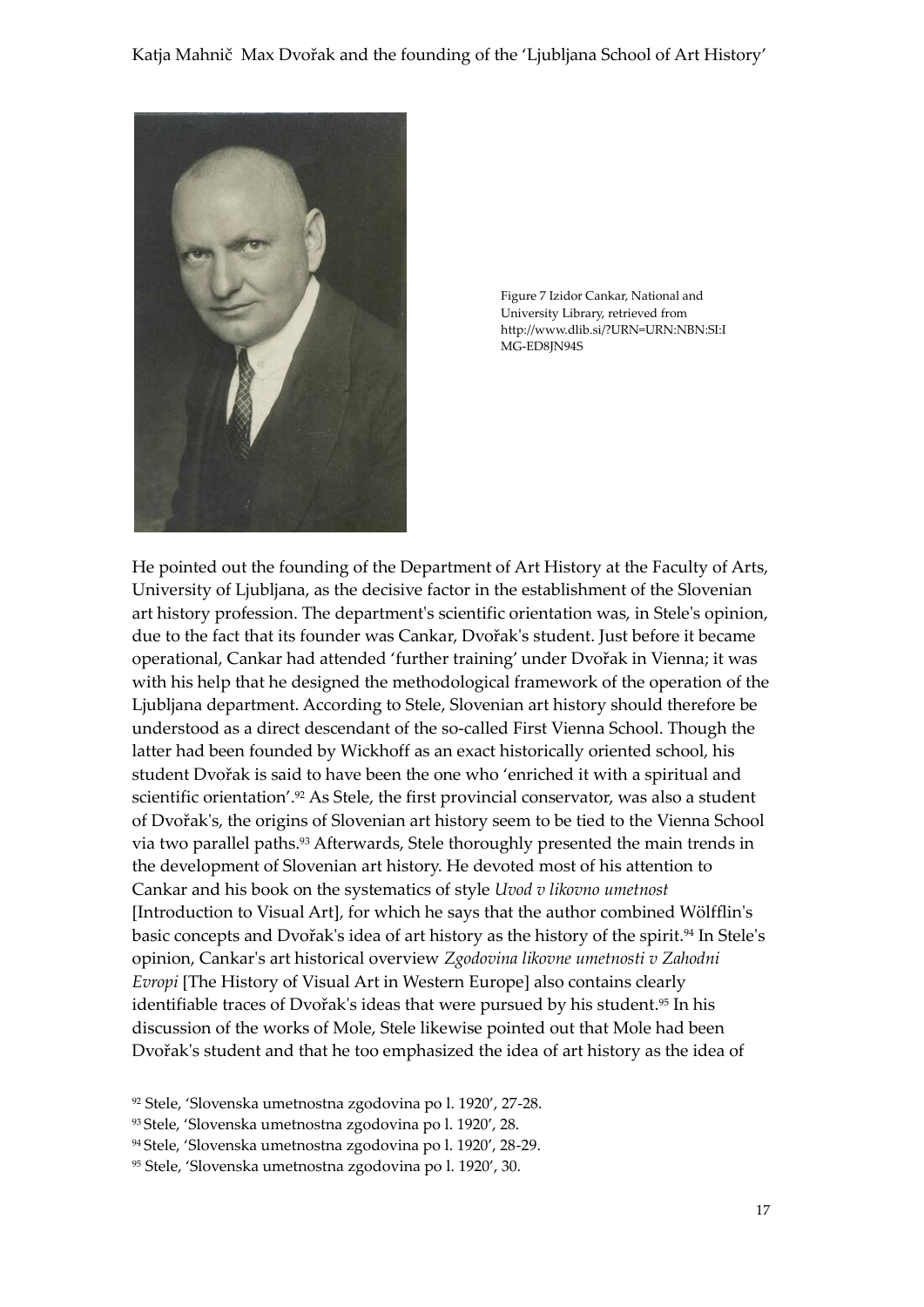

Figure 7 Izidor Cankar, National and University Library, retrieved from http://www.dlib.si/?URN=URN:NBN:SI:I MG-ED8JN94S

He pointed out the founding of the Department of Art History at the Faculty of Arts, University of Ljubljana, as the decisive factor in the establishment of the Slovenian art history profession. The department's scientific orientation was, in Stele's opinion, due to the fact that its founder was Cankar, Dvořak's student. Just before it became operational, Cankar had attended 'further training' under Dvořak in Vienna; it was with his help that he designed the methodological framework of the operation of the Ljubljana department. According to Stele, Slovenian art history should therefore be understood as a direct descendant of the so-called First Vienna School. Though the latter had been founded by Wickhoff as an exact historically oriented school, his student Dvořak is said to have been the one who 'enriched it with a spiritual and scientific orientation'. <sup>92</sup> As Stele, the first provincial conservator, was also a student of Dvořak's, the origins of Slovenian art history seem to be tied to the Vienna School via two parallel paths.<sup>93</sup> Afterwards, Stele thoroughly presented the main trends in the development of Slovenian art history. He devoted most of his attention to Cankar and his book on the systematics of style *Uvod v likovno umetnost* [Introduction to Visual Art], for which he says that the author combined Wölfflin's basic concepts and Dvořak's idea of art history as the history of the spirit.<sup>94</sup> In Stele's opinion, Cankar's art historical overview *Zgodovina likovne umetnosti v Zahodni Evropi* [The History of Visual Art in Western Europe] also contains clearly identifiable traces of Dvořak's ideas that were pursued by his student.<sup>95</sup> In his discussion of the works of Mole, Stele likewise pointed out that Mole had been Dvořak's student and that he too emphasized the idea of art history as the idea of

<sup>92</sup> Stele, 'Slovenska umetnostna zgodovina po l. 1920', 27-28.

<sup>93</sup> Stele, 'Slovenska umetnostna zgodovina po l. 1920', 28.

<sup>94</sup> Stele, 'Slovenska umetnostna zgodovina po l. 1920', 28-29.

<sup>95</sup> Stele, 'Slovenska umetnostna zgodovina po l. 1920', 30.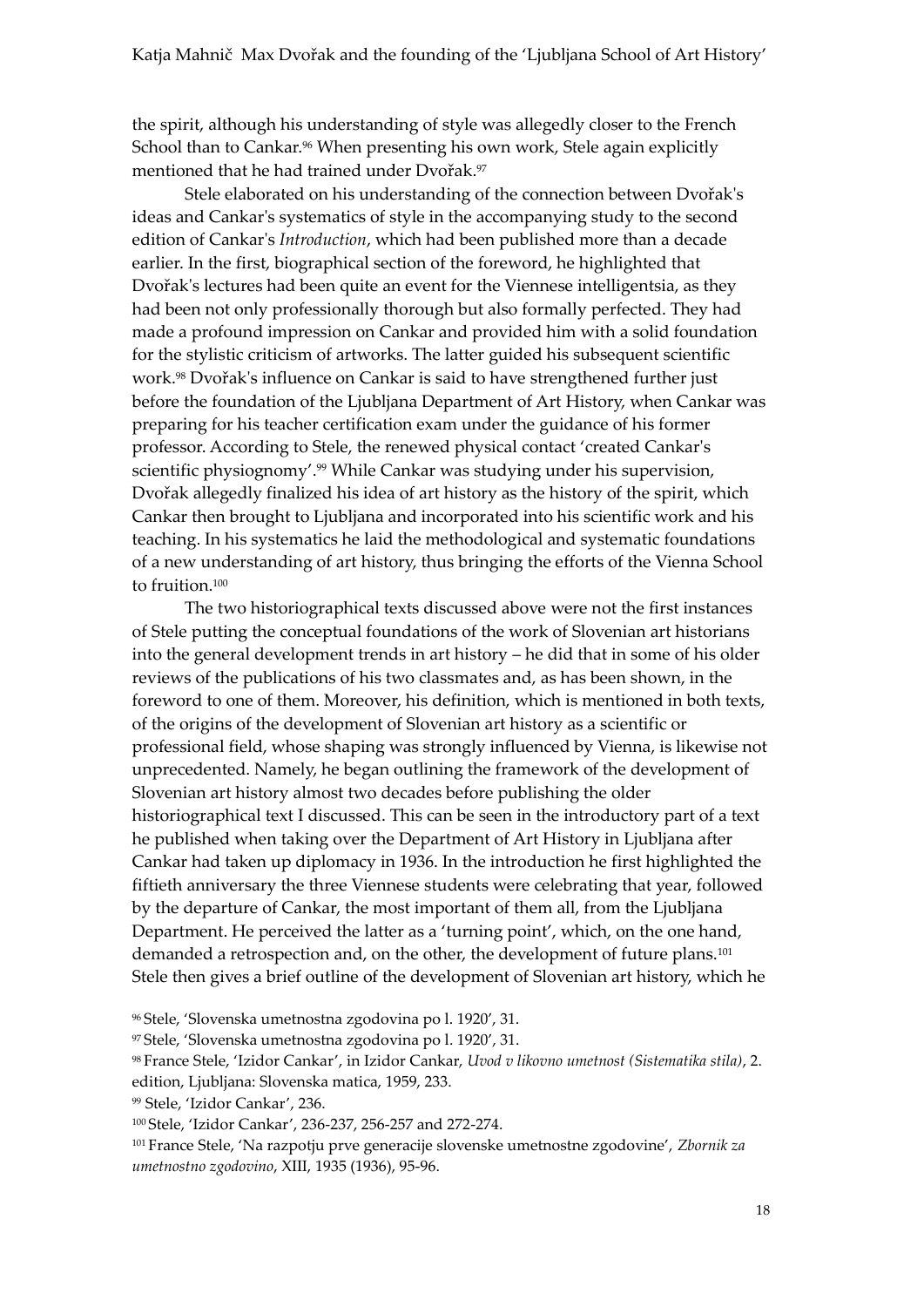the spirit, although his understanding of style was allegedly closer to the French School than to Cankar.<sup>96</sup> When presenting his own work, Stele again explicitly mentioned that he had trained under Dvořak.<sup>97</sup>

Stele elaborated on his understanding of the connection between Dvořak's ideas and Cankar's systematics of style in the accompanying study to the second edition of Cankar's *Introduction*, which had been published more than a decade earlier. In the first, biographical section of the foreword, he highlighted that Dvořak's lectures had been quite an event for the Viennese intelligentsia, as they had been not only professionally thorough but also formally perfected. They had made a profound impression on Cankar and provided him with a solid foundation for the stylistic criticism of artworks. The latter guided his subsequent scientific work.<sup>98</sup> Dvořak's influence on Cankar is said to have strengthened further just before the foundation of the Ljubljana Department of Art History, when Cankar was preparing for his teacher certification exam under the guidance of his former professor. According to Stele, the renewed physical contact 'created Cankar's scientific physiognomy'. <sup>99</sup> While Cankar was studying under his supervision, Dvořak allegedly finalized his idea of art history as the history of the spirit, which Cankar then brought to Ljubljana and incorporated into his scientific work and his teaching. In his systematics he laid the methodological and systematic foundations of a new understanding of art history, thus bringing the efforts of the Vienna School to fruition.<sup>100</sup>

The two historiographical texts discussed above were not the first instances of Stele putting the conceptual foundations of the work of Slovenian art historians into the general development trends in art history – he did that in some of his older reviews of the publications of his two classmates and, as has been shown, in the foreword to one of them. Moreover, his definition, which is mentioned in both texts, of the origins of the development of Slovenian art history as a scientific or professional field, whose shaping was strongly influenced by Vienna, is likewise not unprecedented. Namely, he began outlining the framework of the development of Slovenian art history almost two decades before publishing the older historiographical text I discussed. This can be seen in the introductory part of a text he published when taking over the Department of Art History in Ljubljana after Cankar had taken up diplomacy in 1936. In the introduction he first highlighted the fiftieth anniversary the three Viennese students were celebrating that year, followed by the departure of Cankar, the most important of them all, from the Ljubljana Department. He perceived the latter as a 'turning point', which, on the one hand, demanded a retrospection and, on the other, the development of future plans.<sup>101</sup> Stele then gives a brief outline of the development of Slovenian art history, which he

<sup>96</sup> Stele, 'Slovenska umetnostna zgodovina po l. 1920', 31.

<sup>97</sup> Stele, 'Slovenska umetnostna zgodovina po l. 1920', 31.

<sup>98</sup> France Stele, 'Izidor Cankar', in Izidor Cankar, *Uvod v likovno umetnost (Sistematika stila)*, 2. edition, Ljubljana: Slovenska matica, 1959, 233.

<sup>99</sup> Stele, 'Izidor Cankar', 236.

<sup>100</sup> Stele, 'Izidor Cankar', 236-237, 256-257 and 272-274.

<sup>101</sup> France Stele, 'Na razpotju prve generacije slovenske umetnostne zgodovine', *Zbornik za umetnostno zgodovino*, XIII, 1935 (1936), 95-96.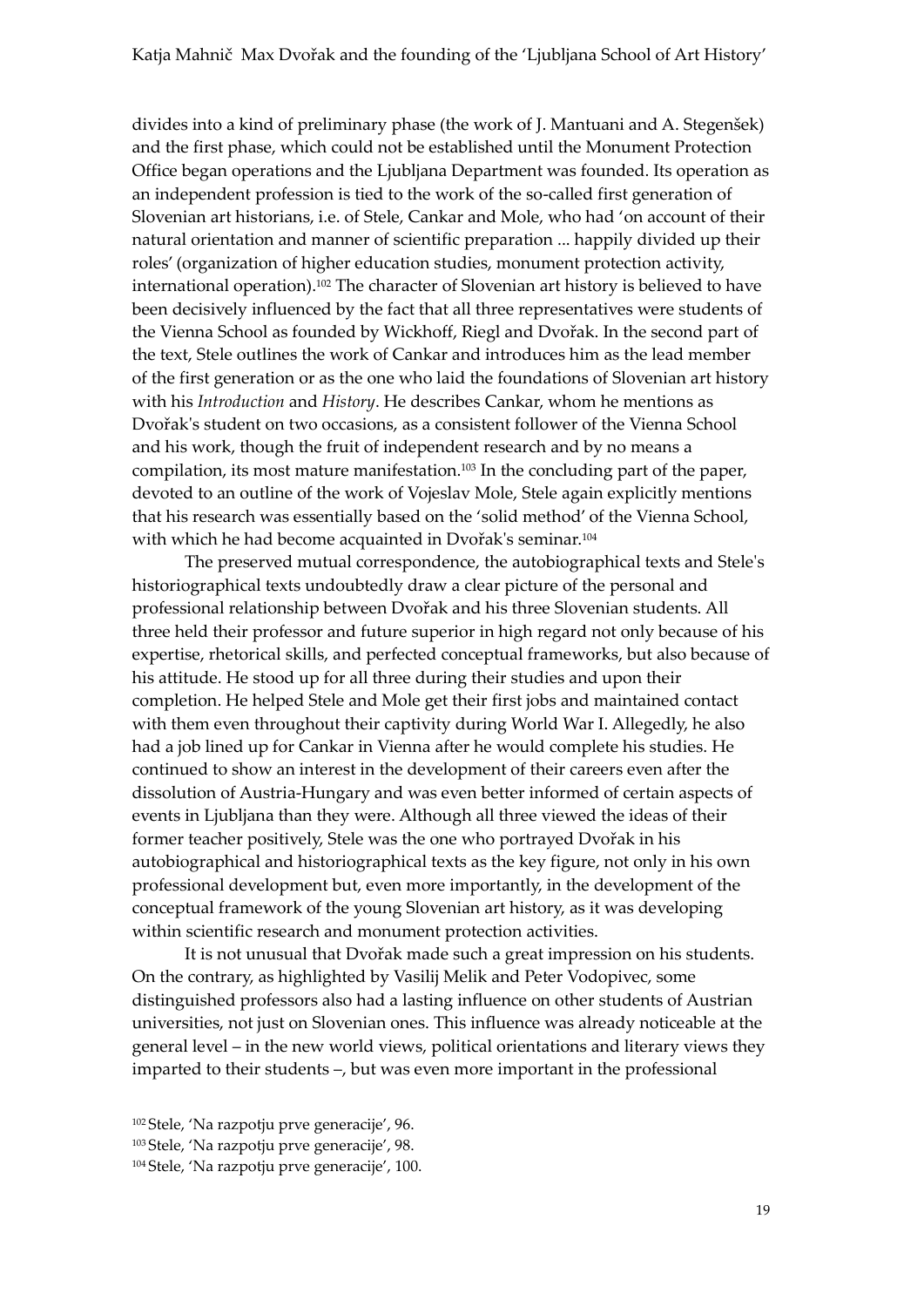divides into a kind of preliminary phase (the work of J. Mantuani and A. Stegenšek) and the first phase, which could not be established until the Monument Protection Office began operations and the Ljubljana Department was founded. Its operation as an independent profession is tied to the work of the so-called first generation of Slovenian art historians, i.e. of Stele, Cankar and Mole, who had 'on account of their natural orientation and manner of scientific preparation ... happily divided up their roles' (organization of higher education studies, monument protection activity, international operation).<sup>102</sup> The character of Slovenian art history is believed to have been decisively influenced by the fact that all three representatives were students of the Vienna School as founded by Wickhoff, Riegl and Dvořak. In the second part of the text, Stele outlines the work of Cankar and introduces him as the lead member of the first generation or as the one who laid the foundations of Slovenian art history with his *Introduction* and *History*. He describes Cankar, whom he mentions as Dvořak's student on two occasions, as a consistent follower of the Vienna School and his work, though the fruit of independent research and by no means a compilation, its most mature manifestation.<sup>103</sup> In the concluding part of the paper, devoted to an outline of the work of Vojeslav Mole, Stele again explicitly mentions that his research was essentially based on the 'solid method' of the Vienna School, with which he had become acquainted in Dvořak's seminar.<sup>104</sup>

The preserved mutual correspondence, the autobiographical texts and Stele's historiographical texts undoubtedly draw a clear picture of the personal and professional relationship between Dvořak and his three Slovenian students. All three held their professor and future superior in high regard not only because of his expertise, rhetorical skills, and perfected conceptual frameworks, but also because of his attitude. He stood up for all three during their studies and upon their completion. He helped Stele and Mole get their first jobs and maintained contact with them even throughout their captivity during World War I. Allegedly, he also had a job lined up for Cankar in Vienna after he would complete his studies. He continued to show an interest in the development of their careers even after the dissolution of Austria-Hungary and was even better informed of certain aspects of events in Ljubljana than they were. Although all three viewed the ideas of their former teacher positively, Stele was the one who portrayed Dvořak in his autobiographical and historiographical texts as the key figure, not only in his own professional development but, even more importantly, in the development of the conceptual framework of the young Slovenian art history, as it was developing within scientific research and monument protection activities.

It is not unusual that Dvořak made such a great impression on his students. On the contrary, as highlighted by Vasilij Melik and Peter Vodopivec, some distinguished professors also had a lasting influence on other students of Austrian universities, not just on Slovenian ones. This influence was already noticeable at the general level – in the new world views, political orientations and literary views they imparted to their students –, but was even more important in the professional

<sup>102</sup> Stele, 'Na razpotju prve generacije', 96. <sup>103</sup> Stele, 'Na razpotju prve generacije', 98. <sup>104</sup> Stele, 'Na razpotju prve generacije', 100.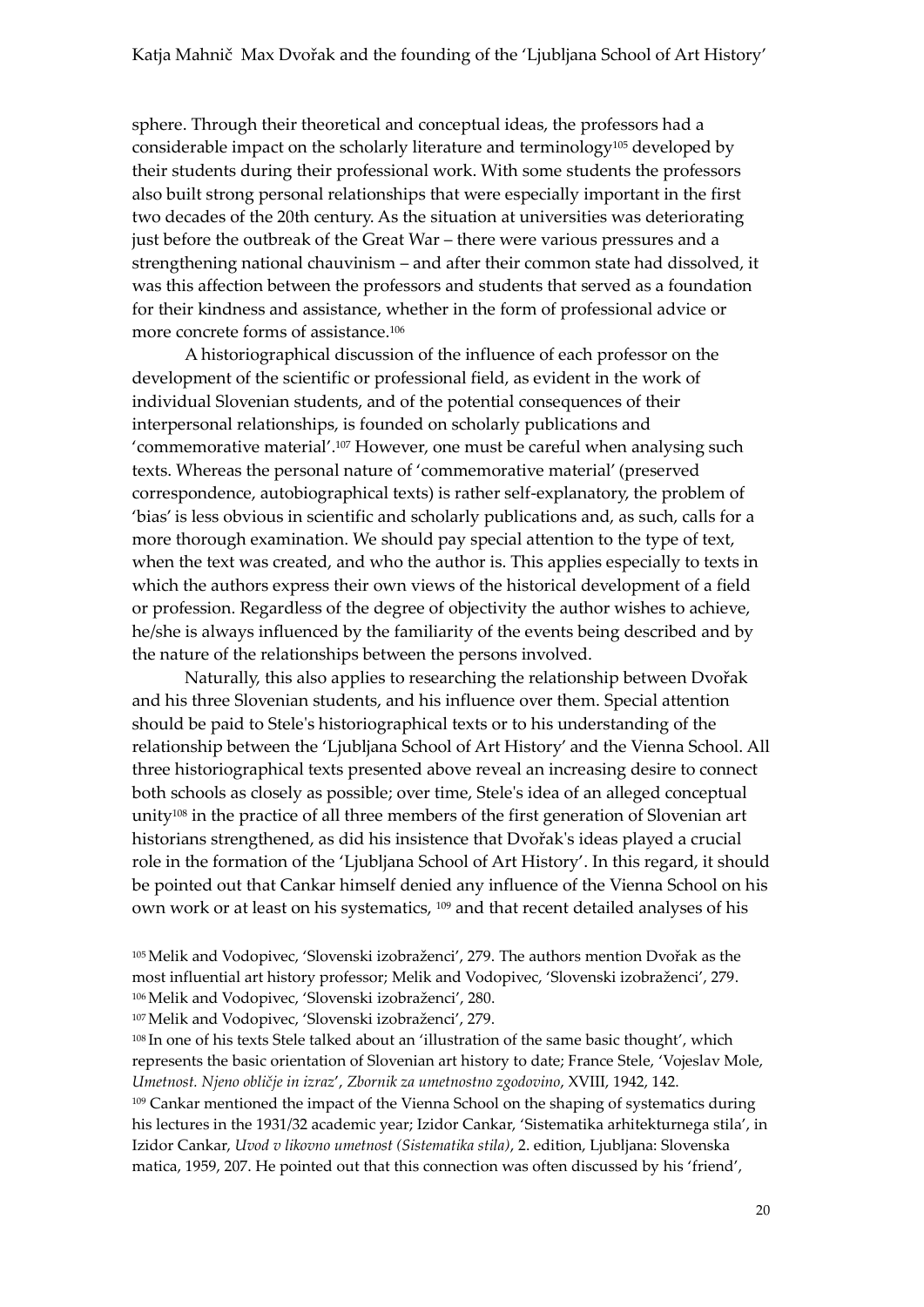sphere. Through their theoretical and conceptual ideas, the professors had a considerable impact on the scholarly literature and terminology<sup>105</sup> developed by their students during their professional work. With some students the professors also built strong personal relationships that were especially important in the first two decades of the 20th century. As the situation at universities was deteriorating just before the outbreak of the Great War – there were various pressures and a strengthening national chauvinism – and after their common state had dissolved, it was this affection between the professors and students that served as a foundation for their kindness and assistance, whether in the form of professional advice or more concrete forms of assistance.<sup>106</sup>

A historiographical discussion of the influence of each professor on the development of the scientific or professional field, as evident in the work of individual Slovenian students, and of the potential consequences of their interpersonal relationships, is founded on scholarly publications and 'commemorative material'. <sup>107</sup> However, one must be careful when analysing such texts. Whereas the personal nature of 'commemorative material' (preserved correspondence, autobiographical texts) is rather self-explanatory, the problem of 'bias' is less obvious in scientific and scholarly publications and, as such, calls for a more thorough examination. We should pay special attention to the type of text, when the text was created, and who the author is. This applies especially to texts in which the authors express their own views of the historical development of a field or profession. Regardless of the degree of objectivity the author wishes to achieve, he/she is always influenced by the familiarity of the events being described and by the nature of the relationships between the persons involved.

Naturally, this also applies to researching the relationship between Dvořak and his three Slovenian students, and his influence over them. Special attention should be paid to Stele's historiographical texts or to his understanding of the relationship between the 'Ljubljana School of Art History' and the Vienna School. All three historiographical texts presented above reveal an increasing desire to connect both schools as closely as possible; over time, Stele's idea of an alleged conceptual unity<sup>108</sup> in the practice of all three members of the first generation of Slovenian art historians strengthened, as did his insistence that Dvořak's ideas played a crucial role in the formation of the 'Ljubljana School of Art History'. In this regard, it should be pointed out that Cankar himself denied any influence of the Vienna School on his own work or at least on his systematics, <sup>109</sup> and that recent detailed analyses of his

<sup>105</sup>Melik and Vodopivec, 'Slovenski izobraženci', 279. The authors mention Dvořak as the most influential art history professor; Melik and Vodopivec, 'Slovenski izobraženci', 279. <sup>106</sup>Melik and Vodopivec, 'Slovenski izobraženci', 280.

<sup>107</sup>Melik and Vodopivec, 'Slovenski izobraženci', 279.

<sup>108</sup> In one of his texts Stele talked about an 'illustration of the same basic thought', which represents the basic orientation of Slovenian art history to date; France Stele, 'Vojeslav Mole, *Umetnost. Njeno obličje in izraz*', *Zbornik za umetnostno zgodovino*, XVIII, 1942, 142. <sup>109</sup> Cankar mentioned the impact of the Vienna School on the shaping of systematics during his lectures in the 1931/32 academic year; Izidor Cankar, 'Sistematika arhitekturnega stila', in Izidor Cankar, *Uvod v likovno umetnost (Sistematika stila)*, 2. edition, Ljubljana: Slovenska matica, 1959, 207. He pointed out that this connection was often discussed by his 'friend',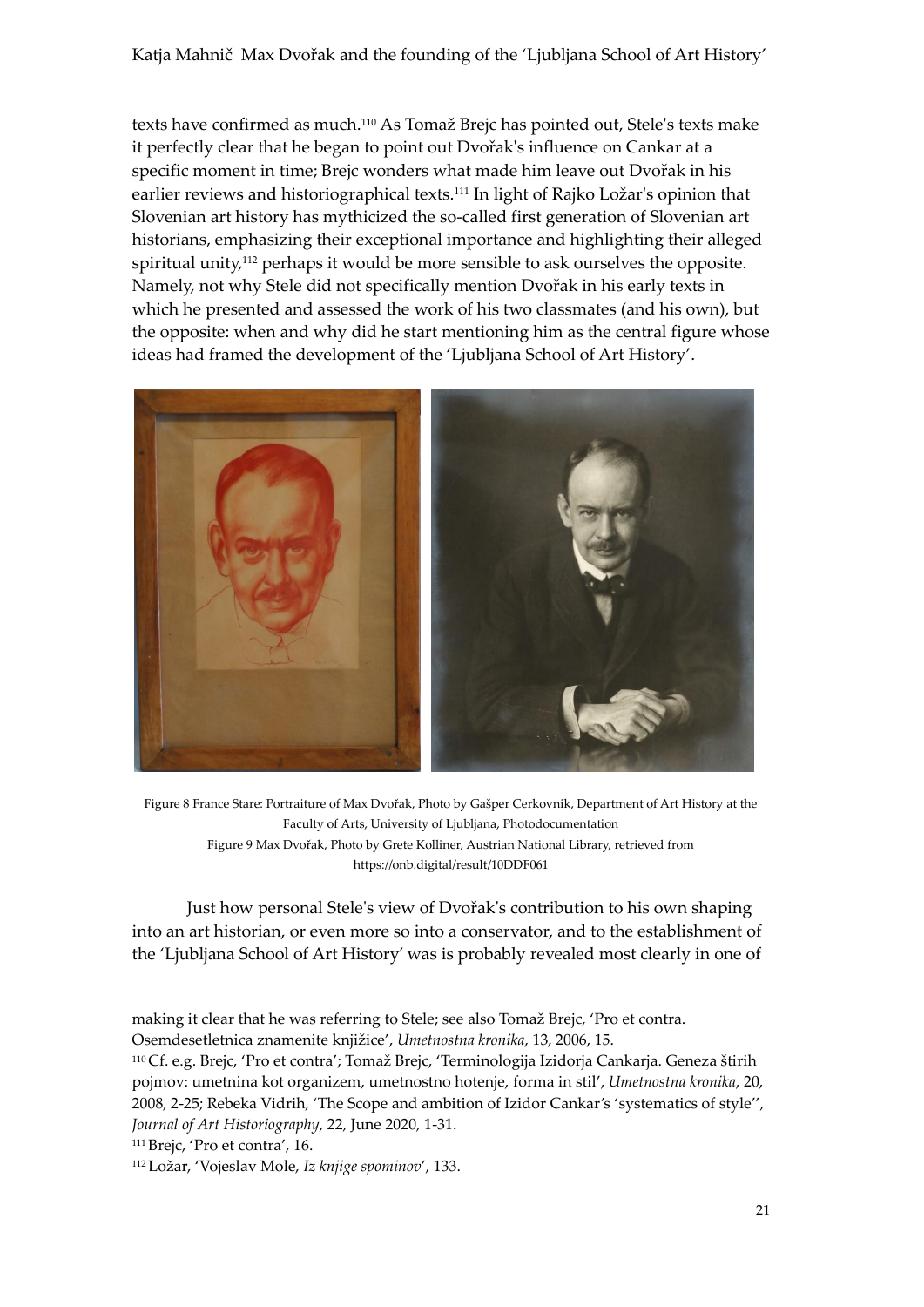Katja Mahnič Max Dvořak and the founding of the 'Ljubljana School of Art History'

texts have confirmed as much.<sup>110</sup> As Tomaž Brejc has pointed out, Stele's texts make it perfectly clear that he began to point out Dvořak's influence on Cankar at a specific moment in time; Brejc wonders what made him leave out Dvořak in his earlier reviews and historiographical texts.<sup>111</sup> In light of Rajko Ložar's opinion that Slovenian art history has mythicized the so-called first generation of Slovenian art historians, emphasizing their exceptional importance and highlighting their alleged spiritual unity,<sup>112</sup> perhaps it would be more sensible to ask ourselves the opposite. Namely, not why Stele did not specifically mention Dvořak in his early texts in which he presented and assessed the work of his two classmates (and his own), but the opposite: when and why did he start mentioning him as the central figure whose ideas had framed the development of the 'Ljubljana School of Art History'.



Figure 8 France Stare: Portraiture of Max Dvořak, Photo by Gašper Cerkovnik, Department of Art History at the Faculty of Arts, University of Ljubljana, Photodocumentation Figure 9 Max Dvořak, Photo by Grete Kolliner, Austrian National Library, retrieved from https://onb.digital/result/10DDF061

Just how personal Stele's view of Dvořak's contribution to his own shaping into an art historian, or even more so into a conservator, and to the establishment of the 'Ljubljana School of Art History' was is probably revealed most clearly in one of

1

making it clear that he was referring to Stele; see also Tomaž Brejc, 'Pro et contra.

Osemdesetletnica znamenite knjižice', *Umetnostna kronika*, 13, 2006, 15.

<sup>110</sup> Cf. e.g. Brejc, 'Pro et contra'; Tomaž Brejc, 'Terminologija Izidorja Cankarja. Geneza štirih pojmov: umetnina kot organizem, umetnostno hotenje, forma in stil', *Umetnostna kronika*, 20, 2008, 2-25; Rebeka Vidrih, 'The Scope and ambition of Izidor Cankar's 'systematics of style'', *Journal of Art Historiography*, 22, June 2020, 1-31.

<sup>111</sup> Brejc, 'Pro et contra', 16.

<sup>112</sup> Ložar, 'Vojeslav Mole, *Iz knjige spominov*', 133.